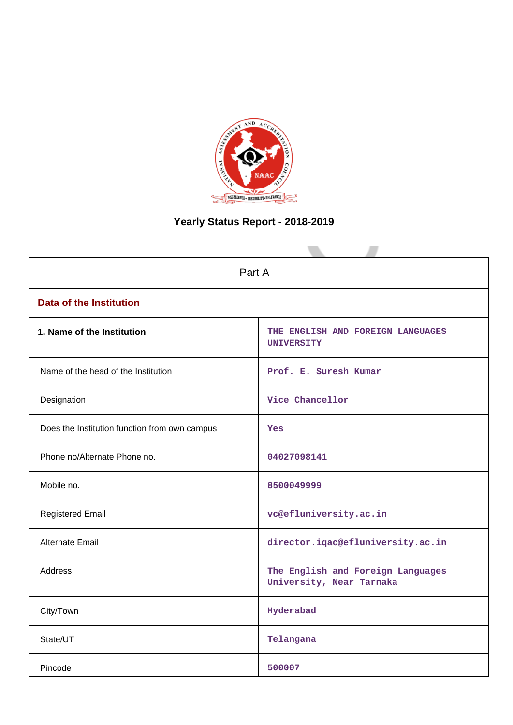

# **Yearly Status Report - 2018-2019**

| Part A                                        |                                                               |  |  |  |  |
|-----------------------------------------------|---------------------------------------------------------------|--|--|--|--|
| <b>Data of the Institution</b>                |                                                               |  |  |  |  |
| 1. Name of the Institution                    | THE ENGLISH AND FOREIGN LANGUAGES<br><b>UNIVERSITY</b>        |  |  |  |  |
| Name of the head of the Institution           | Prof. E. Suresh Kumar                                         |  |  |  |  |
| Designation                                   | Vice Chancellor                                               |  |  |  |  |
| Does the Institution function from own campus | Yes                                                           |  |  |  |  |
| Phone no/Alternate Phone no.                  | 04027098141                                                   |  |  |  |  |
| Mobile no.                                    | 8500049999                                                    |  |  |  |  |
| <b>Registered Email</b>                       | vc@efluniversity.ac.in                                        |  |  |  |  |
| Alternate Email                               | director.iqac@efluniversity.ac.in                             |  |  |  |  |
| <b>Address</b>                                | The English and Foreign Languages<br>University, Near Tarnaka |  |  |  |  |
| City/Town                                     | Hyderabad                                                     |  |  |  |  |
| State/UT                                      | Telangana                                                     |  |  |  |  |
| Pincode                                       | 500007                                                        |  |  |  |  |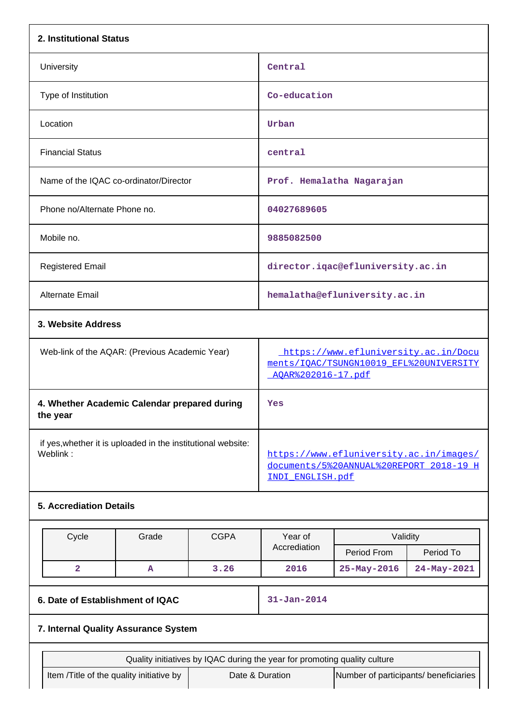| 2. Institutional Status                                                  |                                                |             |                                                                                                        |                                                                                                       |             |  |
|--------------------------------------------------------------------------|------------------------------------------------|-------------|--------------------------------------------------------------------------------------------------------|-------------------------------------------------------------------------------------------------------|-------------|--|
| University                                                               |                                                |             | Central                                                                                                |                                                                                                       |             |  |
| Type of Institution                                                      |                                                |             | Co-education                                                                                           |                                                                                                       |             |  |
| Location                                                                 |                                                |             | Urban                                                                                                  |                                                                                                       |             |  |
| <b>Financial Status</b>                                                  |                                                |             | central                                                                                                |                                                                                                       |             |  |
| Name of the IQAC co-ordinator/Director                                   |                                                |             |                                                                                                        | Prof. Hemalatha Nagarajan                                                                             |             |  |
| Phone no/Alternate Phone no.                                             |                                                |             | 04027689605                                                                                            |                                                                                                       |             |  |
| Mobile no.                                                               |                                                |             | 9885082500                                                                                             |                                                                                                       |             |  |
| <b>Registered Email</b>                                                  |                                                |             |                                                                                                        | director.iqac@efluniversity.ac.in                                                                     |             |  |
| <b>Alternate Email</b>                                                   |                                                |             |                                                                                                        | hemalatha@efluniversity.ac.in                                                                         |             |  |
| 3. Website Address                                                       |                                                |             |                                                                                                        |                                                                                                       |             |  |
|                                                                          | Web-link of the AQAR: (Previous Academic Year) |             |                                                                                                        | https://www.efluniversity.ac.in/Docu<br>ments/IOAC/TSUNGN10019 EFL%20UNIVERSITY<br>AQAR%202016-17.pdf |             |  |
| 4. Whether Academic Calendar prepared during<br>the year                 |                                                |             | Yes                                                                                                    |                                                                                                       |             |  |
| if yes, whether it is uploaded in the institutional website:<br>Weblink: |                                                |             | https://www.efluniversity.ac.in/images/<br>documents/5%20ANNUAL%20REPORT 2018-19 H<br>INDI_ENGLISH.pdf |                                                                                                       |             |  |
| <b>5. Accrediation Details</b>                                           |                                                |             |                                                                                                        |                                                                                                       |             |  |
| Cycle                                                                    | Grade                                          | <b>CGPA</b> | Year of                                                                                                | Validity                                                                                              |             |  |
|                                                                          |                                                |             | Accrediation                                                                                           | Period From                                                                                           | Period To   |  |
| $\overline{\mathbf{2}}$                                                  | $\mathbf{A}$                                   | 3.26        | 2016                                                                                                   | 25-May-2016                                                                                           | 24-May-2021 |  |
| 6. Date of Establishment of IQAC                                         |                                                |             | $31 - Jan - 2014$                                                                                      |                                                                                                       |             |  |
| 7. Internal Quality Assurance System                                     |                                                |             |                                                                                                        |                                                                                                       |             |  |
|                                                                          |                                                |             | Quality initiatives by IQAC during the year for promoting quality culture                              |                                                                                                       |             |  |
| Item /Title of the quality initiative by                                 |                                                |             | Date & Duration                                                                                        | Number of participants/ beneficiaries                                                                 |             |  |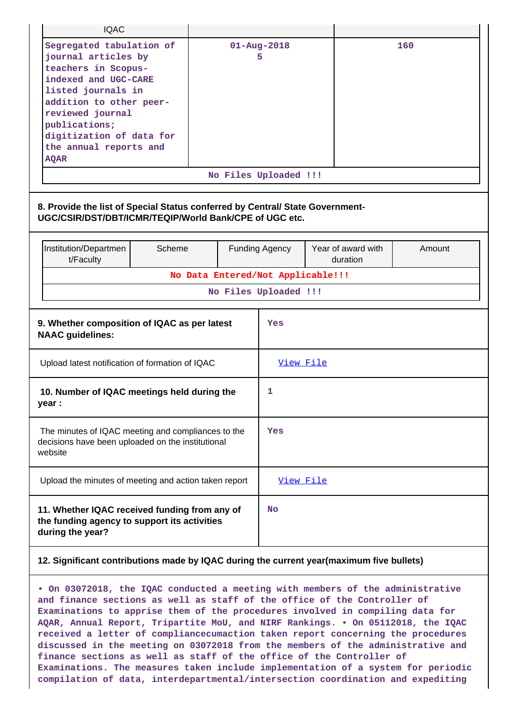| <b>IQAC</b>                                                                                                                                                                                                                                               |                                              |                        |                                   |  |                                |        |
|-----------------------------------------------------------------------------------------------------------------------------------------------------------------------------------------------------------------------------------------------------------|----------------------------------------------|------------------------|-----------------------------------|--|--------------------------------|--------|
| Segregated tabulation of<br>journal articles by<br>teachers in Scopus-<br>indexed and UGC-CARE<br>listed journals in<br>addition to other peer-<br>reviewed journal<br>publications;<br>digitization of data for<br>the annual reports and<br><b>AQAR</b> |                                              | $01 - Aug - 2018$<br>5 |                                   |  | 160                            |        |
|                                                                                                                                                                                                                                                           |                                              |                        | No Files Uploaded !!!             |  |                                |        |
| 8. Provide the list of Special Status conferred by Central/ State Government-<br>UGC/CSIR/DST/DBT/ICMR/TEQIP/World Bank/CPE of UGC etc.                                                                                                                   |                                              |                        |                                   |  |                                |        |
| Institution/Departmen<br>Scheme<br>t/Faculty                                                                                                                                                                                                              |                                              |                        | <b>Funding Agency</b>             |  | Year of award with<br>duration | Amount |
|                                                                                                                                                                                                                                                           |                                              |                        | No Data Entered/Not Applicable!!! |  |                                |        |
|                                                                                                                                                                                                                                                           |                                              |                        | No Files Uploaded !!!             |  |                                |        |
| <b>NAAC</b> guidelines:                                                                                                                                                                                                                                   | 9. Whether composition of IQAC as per latest |                        |                                   |  |                                |        |
| Upload latest notification of formation of IQAC                                                                                                                                                                                                           |                                              |                        | View File                         |  |                                |        |
| year :                                                                                                                                                                                                                                                    | 10. Number of IQAC meetings held during the  |                        |                                   |  |                                |        |
| The minutes of IQAC meeting and compliances to the<br>decisions have been uploaded on the institutional<br>website                                                                                                                                        |                                              |                        | Yes                               |  |                                |        |
| Upload the minutes of meeting and action taken report                                                                                                                                                                                                     |                                              |                        | <u>View File</u>                  |  |                                |        |
| 11. Whether IQAC received funding from any of<br>the funding agency to support its activities<br>during the year?                                                                                                                                         |                                              |                        | <b>No</b>                         |  |                                |        |
| 12. Significant contributions made by IQAC during the current year(maximum five bullets)                                                                                                                                                                  |                                              |                        |                                   |  |                                |        |

**• On 03072018, the IQAC conducted a meeting with members of the administrative and finance sections as well as staff of the office of the Controller of Examinations to apprise them of the procedures involved in compiling data for AQAR, Annual Report, Tripartite MoU, and NIRF Rankings. • On 05112018, the IQAC received a letter of compliancecumaction taken report concerning the procedures discussed in the meeting on 03072018 from the members of the administrative and finance sections as well as staff of the office of the Controller of Examinations. The measures taken include implementation of a system for periodic compilation of data, interdepartmental/intersection coordination and expediting**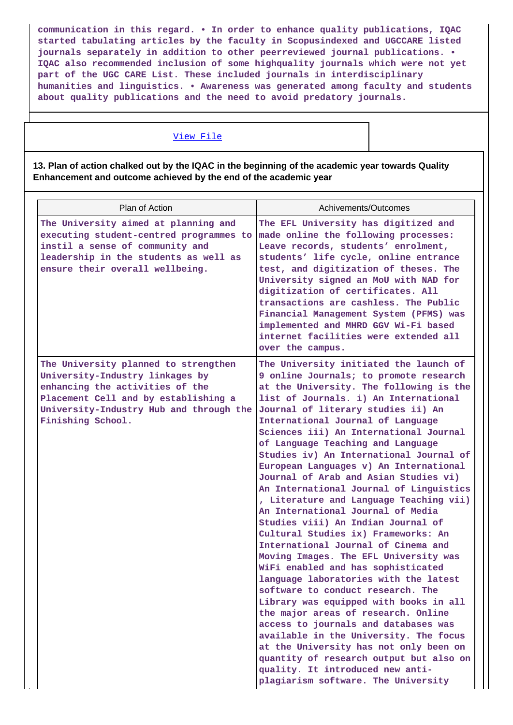**communication in this regard. • In order to enhance quality publications, IQAC started tabulating articles by the faculty in Scopusindexed and UGCCARE listed journals separately in addition to other peerreviewed journal publications. • IQAC also recommended inclusion of some highquality journals which were not yet part of the UGC CARE List. These included journals in interdisciplinary humanities and linguistics. • Awareness was generated among faculty and students about quality publications and the need to avoid predatory journals.**

#### [View File](https://assessmentonline.naac.gov.in/public/Postacc/Contribution/5621_Contribution.xlsx)

**13. Plan of action chalked out by the IQAC in the beginning of the academic year towards Quality Enhancement and outcome achieved by the end of the academic year**

| Plan of Action                                                                                                                                                                                                     | Achivements/Outcomes                                                                                                                                                                                                                                                                                                                                                                                                                                                                                                                                                                                                                                                                                                                                                                                                                                                                                                                                                                                                                                                                                                                                                                                        |
|--------------------------------------------------------------------------------------------------------------------------------------------------------------------------------------------------------------------|-------------------------------------------------------------------------------------------------------------------------------------------------------------------------------------------------------------------------------------------------------------------------------------------------------------------------------------------------------------------------------------------------------------------------------------------------------------------------------------------------------------------------------------------------------------------------------------------------------------------------------------------------------------------------------------------------------------------------------------------------------------------------------------------------------------------------------------------------------------------------------------------------------------------------------------------------------------------------------------------------------------------------------------------------------------------------------------------------------------------------------------------------------------------------------------------------------------|
| The University aimed at planning and<br>executing student-centred programmes to<br>instil a sense of community and<br>leadership in the students as well as<br>ensure their overall wellbeing.                     | The EFL University has digitized and<br>made online the following processes:<br>Leave records, students' enrolment,<br>students' life cycle, online entrance<br>test, and digitization of theses. The<br>University signed an MoU with NAD for<br>digitization of certificates. All<br>transactions are cashless. The Public<br>Financial Management System (PFMS) was<br>implemented and MHRD GGV Wi-Fi based<br>internet facilities were extended all<br>over the campus.                                                                                                                                                                                                                                                                                                                                                                                                                                                                                                                                                                                                                                                                                                                                 |
| The University planned to strengthen<br>University-Industry linkages by<br>enhancing the activities of the<br>Placement Cell and by establishing a<br>University-Industry Hub and through the<br>Finishing School. | The University initiated the launch of<br>9 online Journals; to promote research<br>at the University. The following is the<br>list of Journals. i) An International<br>Journal of literary studies ii) An<br>International Journal of Language<br>Sciences iii) An International Journal<br>of Language Teaching and Language<br>Studies iv) An International Journal of<br>European Languages v) An International<br>Journal of Arab and Asian Studies vi)<br>An International Journal of Linguistics<br>, Literature and Language Teaching vii)<br>An International Journal of Media<br>Studies viii) An Indian Journal of<br>Cultural Studies ix) Frameworks: An<br>International Journal of Cinema and<br>Moving Images. The EFL University was<br>WiFi enabled and has sophisticated<br>language laboratories with the latest<br>software to conduct research. The<br>Library was equipped with books in all<br>the major areas of research. Online<br>access to journals and databases was<br>available in the University. The focus<br>at the University has not only been on<br>quantity of research output but also on<br>quality. It introduced new anti-<br>plagiarism software. The University |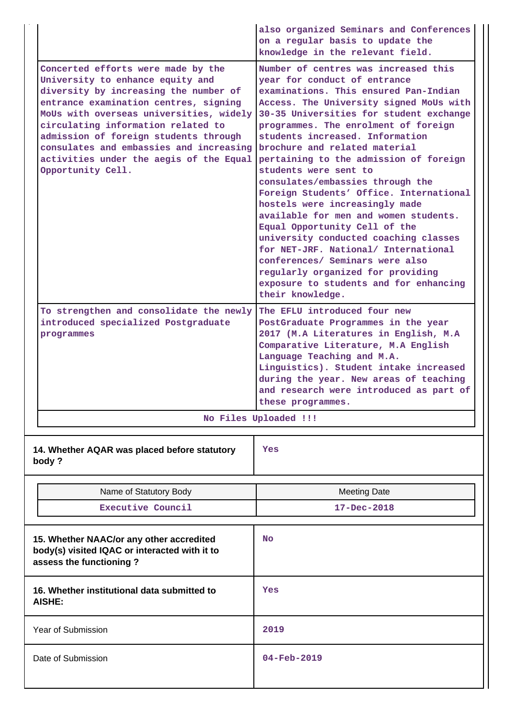|                                                                                                                                                                                                                                                                                                                                                                                               | also organized Seminars and Conferences<br>on a regular basis to update the<br>knowledge in the relevant field.                                                                                                                                                                                                                                                                                                                                                                                                                                                                                                                                                                                                                                                                                      |  |
|-----------------------------------------------------------------------------------------------------------------------------------------------------------------------------------------------------------------------------------------------------------------------------------------------------------------------------------------------------------------------------------------------|------------------------------------------------------------------------------------------------------------------------------------------------------------------------------------------------------------------------------------------------------------------------------------------------------------------------------------------------------------------------------------------------------------------------------------------------------------------------------------------------------------------------------------------------------------------------------------------------------------------------------------------------------------------------------------------------------------------------------------------------------------------------------------------------------|--|
| Concerted efforts were made by the<br>University to enhance equity and<br>diversity by increasing the number of<br>entrance examination centres, signing<br>MoUs with overseas universities, widely<br>circulating information related to<br>admission of foreign students through<br>consulates and embassies and increasing<br>activities under the aegis of the Equal<br>Opportunity Cell. | Number of centres was increased this<br>year for conduct of entrance<br>examinations. This ensured Pan-Indian<br>Access. The University signed MoUs with<br>30-35 Universities for student exchange<br>programmes. The enrolment of foreign<br>students increased. Information<br>brochure and related material<br>pertaining to the admission of foreign<br>students were sent to<br>consulates/embassies through the<br>Foreign Students' Office. International<br>hostels were increasingly made<br>available for men and women students.<br>Equal Opportunity Cell of the<br>university conducted coaching classes<br>for NET-JRF. National/ International<br>conferences/ Seminars were also<br>regularly organized for providing<br>exposure to students and for enhancing<br>their knowledge. |  |
| To strengthen and consolidate the newly<br>introduced specialized Postgraduate<br>programmes                                                                                                                                                                                                                                                                                                  | The EFLU introduced four new<br>PostGraduate Programmes in the year<br>2017 (M.A Literatures in English, M.A<br>Comparative Literature, M.A English<br>Language Teaching and M.A.<br>Linguistics). Student intake increased<br>during the year. New areas of teaching<br>and research were introduced as part of<br>these programmes.                                                                                                                                                                                                                                                                                                                                                                                                                                                                |  |
|                                                                                                                                                                                                                                                                                                                                                                                               | No Files Uploaded !!!                                                                                                                                                                                                                                                                                                                                                                                                                                                                                                                                                                                                                                                                                                                                                                                |  |
| 14. Whether AQAR was placed before statutory<br>body?                                                                                                                                                                                                                                                                                                                                         | Yes                                                                                                                                                                                                                                                                                                                                                                                                                                                                                                                                                                                                                                                                                                                                                                                                  |  |
| Name of Statutory Body                                                                                                                                                                                                                                                                                                                                                                        | <b>Meeting Date</b>                                                                                                                                                                                                                                                                                                                                                                                                                                                                                                                                                                                                                                                                                                                                                                                  |  |
| <b>Executive Council</b>                                                                                                                                                                                                                                                                                                                                                                      | 17-Dec-2018                                                                                                                                                                                                                                                                                                                                                                                                                                                                                                                                                                                                                                                                                                                                                                                          |  |
| 15. Whether NAAC/or any other accredited<br>body(s) visited IQAC or interacted with it to<br>assess the functioning?                                                                                                                                                                                                                                                                          | No                                                                                                                                                                                                                                                                                                                                                                                                                                                                                                                                                                                                                                                                                                                                                                                                   |  |
| 16. Whether institutional data submitted to<br><b>AISHE:</b>                                                                                                                                                                                                                                                                                                                                  | Yes                                                                                                                                                                                                                                                                                                                                                                                                                                                                                                                                                                                                                                                                                                                                                                                                  |  |
| <b>Year of Submission</b>                                                                                                                                                                                                                                                                                                                                                                     | 2019                                                                                                                                                                                                                                                                                                                                                                                                                                                                                                                                                                                                                                                                                                                                                                                                 |  |
| Date of Submission                                                                                                                                                                                                                                                                                                                                                                            | $04 - Feb - 2019$                                                                                                                                                                                                                                                                                                                                                                                                                                                                                                                                                                                                                                                                                                                                                                                    |  |
|                                                                                                                                                                                                                                                                                                                                                                                               |                                                                                                                                                                                                                                                                                                                                                                                                                                                                                                                                                                                                                                                                                                                                                                                                      |  |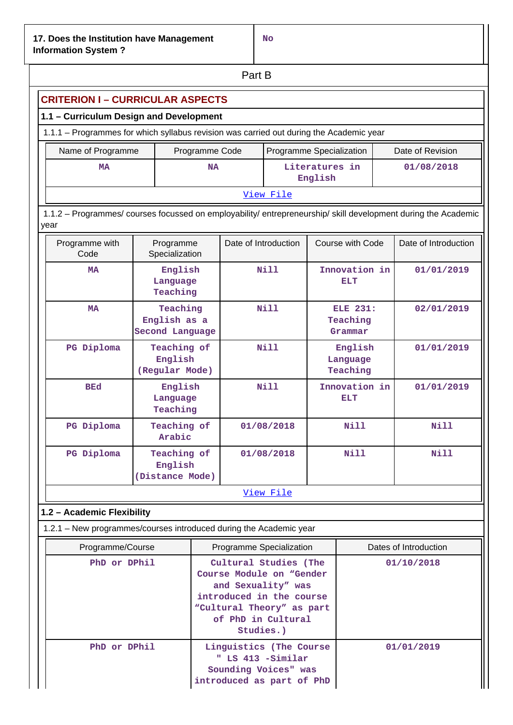**No**

| Part B                                                                                                                      |                                                    |                                                                                                   |                          |                          |                           |                                        |             |  |
|-----------------------------------------------------------------------------------------------------------------------------|----------------------------------------------------|---------------------------------------------------------------------------------------------------|--------------------------|--------------------------|---------------------------|----------------------------------------|-------------|--|
| <b>CRITERION I - CURRICULAR ASPECTS</b>                                                                                     |                                                    |                                                                                                   |                          |                          |                           |                                        |             |  |
| 1.1 - Curriculum Design and Development                                                                                     |                                                    |                                                                                                   |                          |                          |                           |                                        |             |  |
| 1.1.1 - Programmes for which syllabus revision was carried out during the Academic year                                     |                                                    |                                                                                                   |                          |                          |                           |                                        |             |  |
| Name of Programme                                                                                                           |                                                    | Programme Code                                                                                    |                          | Programme Specialization |                           | Date of Revision                       |             |  |
| MA                                                                                                                          |                                                    | <b>NA</b>                                                                                         |                          |                          | Literatures in<br>English |                                        | 01/08/2018  |  |
| View File<br>1.1.2 - Programmes/ courses focussed on employability/ entrepreneurship/ skill development during the Academic |                                                    |                                                                                                   |                          |                          |                           |                                        |             |  |
| year<br>Date of Introduction<br>Course with Code<br>Date of Introduction<br>Programme with<br>Programme                     |                                                    |                                                                                                   |                          |                          |                           |                                        |             |  |
| Code                                                                                                                        | Specialization                                     |                                                                                                   |                          |                          |                           |                                        |             |  |
| <b>MA</b>                                                                                                                   | English<br>Language<br>Teaching                    |                                                                                                   |                          | <b>Nill</b>              |                           | Innovation in<br>ELT                   | 01/01/2019  |  |
| <b>MA</b>                                                                                                                   | Teaching<br>English as a<br><b>Second Language</b> | Nill                                                                                              |                          |                          |                           | <b>ELE 231:</b><br>Teaching<br>Grammar | 02/01/2019  |  |
| PG Diploma                                                                                                                  | Teaching of<br>English<br>(Regular Mode)           |                                                                                                   | Nill                     |                          |                           | English<br>Language<br>Teaching        | 01/01/2019  |  |
| <b>BEd</b>                                                                                                                  | English<br>Language<br>Teaching                    |                                                                                                   |                          | Nill                     | Innovation in<br>ELT      |                                        | 01/01/2019  |  |
| PG Diploma                                                                                                                  | Teaching of<br>Arabic                              |                                                                                                   |                          | 01/08/2018               |                           | Nill                                   | <b>Nill</b> |  |
| PG Diploma                                                                                                                  | Teaching of<br>English<br>(Distance Mode)          |                                                                                                   |                          | 01/08/2018               |                           | Nill                                   | Nill        |  |
|                                                                                                                             |                                                    |                                                                                                   |                          | View File                |                           |                                        |             |  |
| 1.2 - Academic Flexibility                                                                                                  |                                                    |                                                                                                   |                          |                          |                           |                                        |             |  |
| 1.2.1 - New programmes/courses introduced during the Academic year                                                          |                                                    |                                                                                                   |                          |                          |                           |                                        |             |  |
| Programme/Course                                                                                                            |                                                    |                                                                                                   | Programme Specialization |                          |                           | Dates of Introduction                  |             |  |
| PhD or DPhil                                                                                                                |                                                    | Cultural Studies (The<br>Course Module on "Gender<br>and Sexuality" was                           |                          |                          | 01/10/2018                |                                        |             |  |
|                                                                                                                             |                                                    | introduced in the course<br>"Cultural Theory" as part<br>of PhD in Cultural<br>Studies.)          |                          |                          |                           |                                        |             |  |
| PhD or DPhil                                                                                                                |                                                    | Linguistics (The Course<br>" LS 413 -Similar<br>Sounding Voices" was<br>introduced as part of PhD |                          |                          | 01/01/2019                |                                        |             |  |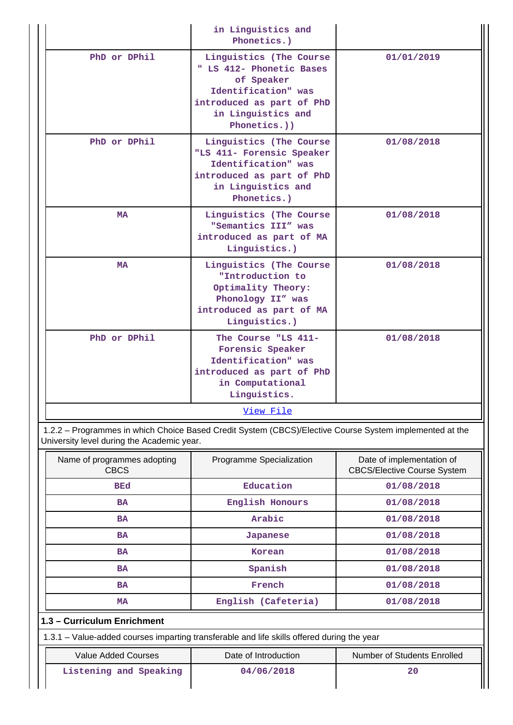|                                                                                                         | in Linguistics and<br>Phonetics.)                                                                                                                           |            |  |  |  |  |
|---------------------------------------------------------------------------------------------------------|-------------------------------------------------------------------------------------------------------------------------------------------------------------|------------|--|--|--|--|
| PhD or DPhil                                                                                            | Linguistics (The Course<br>" LS 412- Phonetic Bases<br>of Speaker<br>Identification" was<br>introduced as part of PhD<br>in Linguistics and<br>Phonetics.)) | 01/01/2019 |  |  |  |  |
| PhD or DPhil                                                                                            | Linguistics (The Course<br>"LS 411- Forensic Speaker<br>Identification" was<br>introduced as part of PhD<br>in Linguistics and<br>Phonetics.)               | 01/08/2018 |  |  |  |  |
| <b>MA</b>                                                                                               | Linguistics (The Course<br>"Semantics III" was<br>introduced as part of MA<br>Linguistics.)                                                                 | 01/08/2018 |  |  |  |  |
| <b>MA</b>                                                                                               | Linguistics (The Course<br>"Introduction to<br>Optimality Theory:<br>Phonology II" was<br>introduced as part of MA<br>Linguistics.)                         | 01/08/2018 |  |  |  |  |
| PhD or DPhil                                                                                            | The Course "LS 411-<br>Forensic Speaker<br>Identification" was<br>introduced as part of PhD<br>in Computational<br>Linguistics.                             | 01/08/2018 |  |  |  |  |
|                                                                                                         | View File                                                                                                                                                   |            |  |  |  |  |
| 1.2.2 - Programmes in which Choice Based Credit System (CBCS)/Elective Course System implemented at the |                                                                                                                                                             |            |  |  |  |  |

University level during the Academic year.

| Name of programmes adopting<br><b>CBCS</b> | Programme Specialization | Date of implementation of<br><b>CBCS/Elective Course System</b> |  |  |  |  |  |
|--------------------------------------------|--------------------------|-----------------------------------------------------------------|--|--|--|--|--|
| <b>BEd</b>                                 | Education                | 01/08/2018                                                      |  |  |  |  |  |
| <b>BA</b>                                  | English Honours          | 01/08/2018                                                      |  |  |  |  |  |
| <b>BA</b>                                  | Arabic                   | 01/08/2018                                                      |  |  |  |  |  |
| <b>BA</b>                                  | Japanese                 | 01/08/2018<br>01/08/2018                                        |  |  |  |  |  |
| <b>BA</b>                                  | Korean                   |                                                                 |  |  |  |  |  |
| <b>BA</b>                                  | Spanish                  | 01/08/2018                                                      |  |  |  |  |  |
| <b>BA</b>                                  | French                   | 01/08/2018                                                      |  |  |  |  |  |
| <b>MA</b>                                  | English (Cafeteria)      | 01/08/2018                                                      |  |  |  |  |  |
| 1.3 - Curriculum Enrichment                |                          |                                                                 |  |  |  |  |  |

1.3.1 – Value-added courses imparting transferable and life skills offered during the year

|  | Value Added Courses |
|--|---------------------|

**Listening and Speaking 120 and 120 and 120 and 120 and 120 and 120 and 120 and 120 and 120 and 120 and 120 and 120 and 120 and 120 and 120 and 120 and 120 and 120 and 120 and 120 and 120 and 120 and 120 and 120 and 120 an** 

Date of Introduction **Number of Students Enrolled**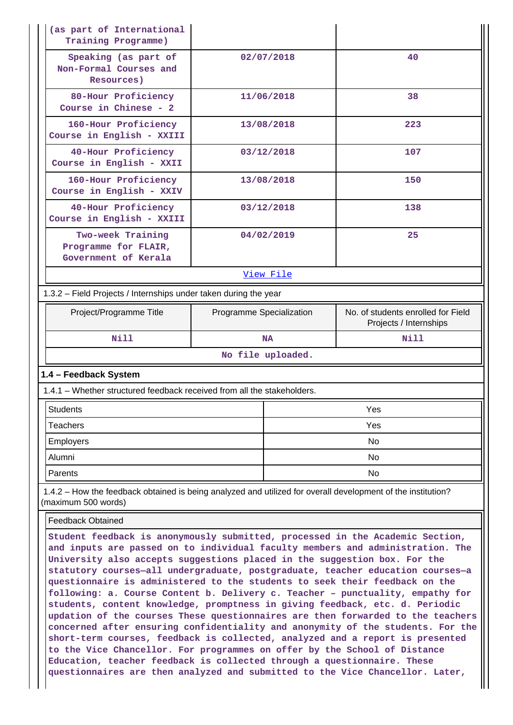| Training Programme)                                                     |                          |                                                                                                              |  |  |  |  |  |  |
|-------------------------------------------------------------------------|--------------------------|--------------------------------------------------------------------------------------------------------------|--|--|--|--|--|--|
| Speaking (as part of<br>Non-Formal Courses and<br>Resources)            | 02/07/2018               | 40                                                                                                           |  |  |  |  |  |  |
| 80-Hour Proficiency<br>Course in Chinese - 2                            | 11/06/2018               | 38                                                                                                           |  |  |  |  |  |  |
| 160-Hour Proficiency<br>Course in English - XXIII                       | 13/08/2018               | 223                                                                                                          |  |  |  |  |  |  |
| 40-Hour Proficiency<br>Course in English - XXII                         | 03/12/2018               | 107                                                                                                          |  |  |  |  |  |  |
| 160-Hour Proficiency<br>Course in English - XXIV                        | 13/08/2018               | 150                                                                                                          |  |  |  |  |  |  |
| 40-Hour Proficiency<br>Course in English - XXIII                        | 03/12/2018               | 138                                                                                                          |  |  |  |  |  |  |
| Two-week Training<br>Programme for FLAIR,<br>Government of Kerala       | 04/02/2019               | 25                                                                                                           |  |  |  |  |  |  |
|                                                                         | View File                |                                                                                                              |  |  |  |  |  |  |
| 1.3.2 - Field Projects / Internships under taken during the year        |                          |                                                                                                              |  |  |  |  |  |  |
| Project/Programme Title                                                 | Programme Specialization | No. of students enrolled for Field<br>Projects / Internships                                                 |  |  |  |  |  |  |
| <b>Nill</b>                                                             | <b>NA</b>                | <b>Nill</b>                                                                                                  |  |  |  |  |  |  |
|                                                                         | No file uploaded.        |                                                                                                              |  |  |  |  |  |  |
| 1.4 - Feedback System                                                   |                          |                                                                                                              |  |  |  |  |  |  |
| 1.4.1 - Whether structured feedback received from all the stakeholders. |                          |                                                                                                              |  |  |  |  |  |  |
| Students                                                                |                          | Yes                                                                                                          |  |  |  |  |  |  |
| <b>Teachers</b>                                                         |                          | <b>Yes</b>                                                                                                   |  |  |  |  |  |  |
| <b>Employers</b>                                                        |                          | No.                                                                                                          |  |  |  |  |  |  |
| Alumni                                                                  |                          | No                                                                                                           |  |  |  |  |  |  |
|                                                                         |                          | No                                                                                                           |  |  |  |  |  |  |
| Parents                                                                 |                          | 1.4.2 – How the feedback obtained is being analyzed and utilized for overall development of the institution? |  |  |  |  |  |  |
| (maximum 500 words)                                                     |                          |                                                                                                              |  |  |  |  |  |  |
| <b>Feedback Obtained</b>                                                |                          |                                                                                                              |  |  |  |  |  |  |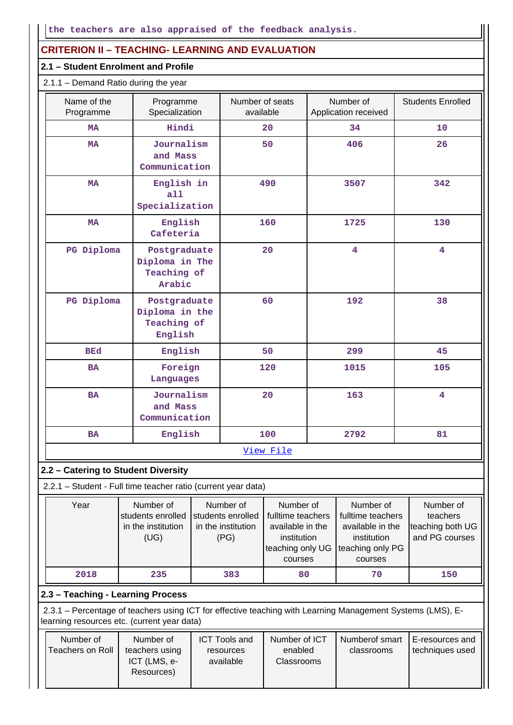# **CRITERION II – TEACHING- LEARNING AND EVALUATION**

#### **2.1 – Student Enrolment and Profile**

| 2.1.1 - Demand Ratio during the year |                                                          |                              |                                   |                          |  |  |  |
|--------------------------------------|----------------------------------------------------------|------------------------------|-----------------------------------|--------------------------|--|--|--|
| Name of the<br>Programme             | Programme<br>Specialization                              | Number of seats<br>available | Number of<br>Application received | <b>Students Enrolled</b> |  |  |  |
| MA                                   | Hindi                                                    | 20                           | 34                                | 10                       |  |  |  |
| <b>MA</b>                            | Journalism<br>and Mass<br>Communication                  | 50                           | 406                               | 26                       |  |  |  |
| <b>MA</b>                            | English in<br>a11<br>Specialization                      | 490                          | 3507                              | 342                      |  |  |  |
| <b>MA</b>                            | English<br>Cafeteria                                     | 160                          | 1725                              | 130                      |  |  |  |
| PG Diploma                           | Postgraduate<br>Diploma in The<br>Teaching of<br>Arabic  | 20                           | $\overline{\mathbf{4}}$           | $\overline{\mathbf{4}}$  |  |  |  |
| PG Diploma                           | Postgraduate<br>Diploma in the<br>Teaching of<br>English | 60                           | 192                               | 38                       |  |  |  |
| <b>BEd</b>                           | English                                                  | 50                           | 299                               | 45                       |  |  |  |
| <b>BA</b>                            | Foreign<br>Languages                                     | 120                          | 1015                              | 105                      |  |  |  |
| <b>BA</b>                            | Journalism<br>and Mass<br>Communication                  | 20                           | 163                               | $\overline{\mathbf{4}}$  |  |  |  |
| <b>BA</b>                            | English                                                  | 100                          | 2792                              | 81                       |  |  |  |
|                                      |                                                          | View File                    |                                   |                          |  |  |  |
|                                      |                                                          |                              |                                   |                          |  |  |  |

# **2.2 – Catering to Student Diversity**

2.2.1 – Student - Full time teacher ratio (current year data)

| Year | Number of<br>students enrolled<br>in the institution<br>(UG) | Number of<br>students enrolled<br>in the institution<br>(PG) | Number of<br>fulltime teachers<br>available in the<br>institution<br>teaching only UG teaching only PG<br>courses | Number of<br>fulltime teachers<br>available in the<br>institution<br>courses | Number of<br>teachers<br>teaching both UG<br>and PG courses |
|------|--------------------------------------------------------------|--------------------------------------------------------------|-------------------------------------------------------------------------------------------------------------------|------------------------------------------------------------------------------|-------------------------------------------------------------|
|      |                                                              |                                                              |                                                                                                                   |                                                                              |                                                             |
| 2018 | 235                                                          | 383                                                          | 80                                                                                                                | 70                                                                           | 150                                                         |

#### **2.3 – Teaching - Learning Process**

 2.3.1 – Percentage of teachers using ICT for effective teaching with Learning Management Systems (LMS), Elearning resources etc. (current year data)

| Number of<br>Teachers on Roll | Number of<br>teachers using<br>ICT (LMS, e-<br>Resources) | <b>ICT Tools and</b><br>resources<br>available | Number of ICT<br>enabled<br><b>Classrooms</b> | Numberof smart<br>classrooms | E-resources and<br>techniques used |
|-------------------------------|-----------------------------------------------------------|------------------------------------------------|-----------------------------------------------|------------------------------|------------------------------------|
|                               |                                                           |                                                |                                               |                              |                                    |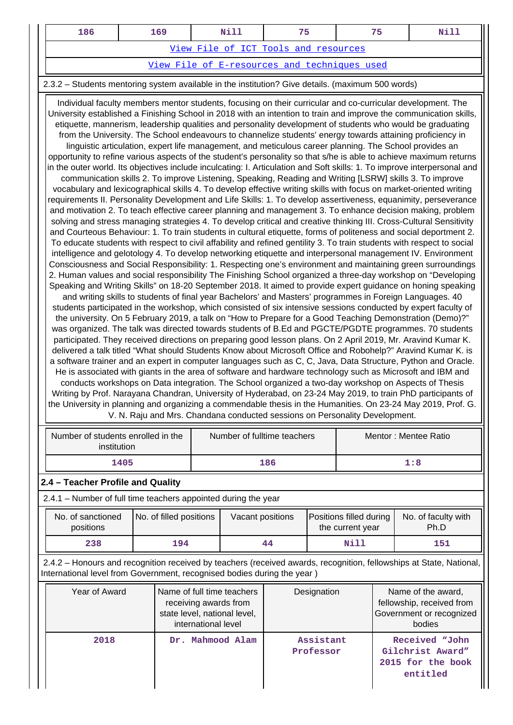| 186                                  | 169 | Nill |                                              | 75 |  |  |  |
|--------------------------------------|-----|------|----------------------------------------------|----|--|--|--|
| View File of ICT Tools and resources |     |      |                                              |    |  |  |  |
|                                      |     |      | View File of E-resources and techniques used |    |  |  |  |

#### 2.3.2 – Students mentoring system available in the institution? Give details. (maximum 500 words)

 Individual faculty members mentor students, focusing on their curricular and co-curricular development. The University established a Finishing School in 2018 with an intention to train and improve the communication skills, etiquette, mannerism, leadership qualities and personality development of students who would be graduating from the University. The School endeavours to channelize students' energy towards attaining proficiency in linguistic articulation, expert life management, and meticulous career planning. The School provides an opportunity to refine various aspects of the student's personality so that s/he is able to achieve maximum returns in the outer world. Its objectives include inculcating: I. Articulation and Soft skills: 1. To improve interpersonal and communication skills 2. To improve Listening, Speaking, Reading and Writing [LSRW] skills 3. To improve vocabulary and lexicographical skills 4. To develop effective writing skills with focus on market-oriented writing requirements II. Personality Development and Life Skills: 1. To develop assertiveness, equanimity, perseverance and motivation 2. To teach effective career planning and management 3. To enhance decision making, problem solving and stress managing strategies 4. To develop critical and creative thinking III. Cross-Cultural Sensitivity and Courteous Behaviour: 1. To train students in cultural etiquette, forms of politeness and social deportment 2. To educate students with respect to civil affability and refined gentility 3. To train students with respect to social intelligence and gelotology 4. To develop networking etiquette and interpersonal management IV. Environment Consciousness and Social Responsibility: 1. Respecting one's environment and maintaining green surroundings 2. Human values and social responsibility The Finishing School organized a three-day workshop on "Developing Speaking and Writing Skills" on 18-20 September 2018. It aimed to provide expert guidance on honing speaking and writing skills to students of final year Bachelors' and Masters' programmes in Foreign Languages. 40 students participated in the workshop, which consisted of six intensive sessions conducted by expert faculty of the university. On 5 February 2019, a talk on "How to Prepare for a Good Teaching Demonstration (Demo)?" was organized. The talk was directed towards students of B.Ed and PGCTE/PGDTE programmes. 70 students participated. They received directions on preparing good lesson plans. On 2 April 2019, Mr. Aravind Kumar K. delivered a talk titled "What should Students Know about Microsoft Office and Robohelp?" Aravind Kumar K. is a software trainer and an expert in computer languages such as C, C, Java, Data Structure, Python and Oracle. He is associated with giants in the area of software and hardware technology such as Microsoft and IBM and conducts workshops on Data integration. The School organized a two-day workshop on Aspects of Thesis Writing by Prof. Narayana Chandran, University of Hyderabad, on 23-24 May 2019, to train PhD participants of the University in planning and organizing a commendable thesis in the Humanities. On 23-24 May 2019, Prof. G. V. N. Raju and Mrs. Chandana conducted sessions on Personality Development.

|                                                                |                                                                                                                                                                                                | Number of students enrolled in the<br>institution |     | Number of fulltime teachers |                                                                                     |                                             | Mentor: Mentee Ratio   |                             |     |                                                                                       |
|----------------------------------------------------------------|------------------------------------------------------------------------------------------------------------------------------------------------------------------------------------------------|---------------------------------------------------|-----|-----------------------------|-------------------------------------------------------------------------------------|---------------------------------------------|------------------------|-----------------------------|-----|---------------------------------------------------------------------------------------|
|                                                                |                                                                                                                                                                                                | 1405                                              |     |                             |                                                                                     | 186                                         |                        | 1:8                         |     |                                                                                       |
|                                                                | 2.4 - Teacher Profile and Quality                                                                                                                                                              |                                                   |     |                             |                                                                                     |                                             |                        |                             |     |                                                                                       |
| 2.4.1 – Number of full time teachers appointed during the year |                                                                                                                                                                                                |                                                   |     |                             |                                                                                     |                                             |                        |                             |     |                                                                                       |
|                                                                | No. of sanctioned<br>positions                                                                                                                                                                 | No. of filled positions                           |     | Vacant positions            |                                                                                     | Positions filled during<br>the current year |                        | No. of faculty with<br>Ph.D |     |                                                                                       |
|                                                                | 238                                                                                                                                                                                            |                                                   | 194 |                             | 44                                                                                  |                                             | Nill                   |                             | 151 |                                                                                       |
|                                                                | 2.4.2 – Honours and recognition received by teachers (received awards, recognition, fellowships at State, National,<br>International level from Government, recognised bodies during the year) |                                                   |     |                             |                                                                                     |                                             |                        |                             |     |                                                                                       |
|                                                                | Year of Award                                                                                                                                                                                  |                                                   |     | international level         | Name of full time teachers<br>receiving awards from<br>state level, national level, |                                             | Designation            |                             |     | Name of the award,<br>fellowship, received from<br>Government or recognized<br>bodies |
|                                                                | 2018                                                                                                                                                                                           |                                                   |     |                             | Dr. Mahmood Alam                                                                    |                                             | Assistant<br>Professor |                             |     | Received "John<br>Gilchrist Award"<br>2015 for the book<br>entitled                   |

 $\mathbf l$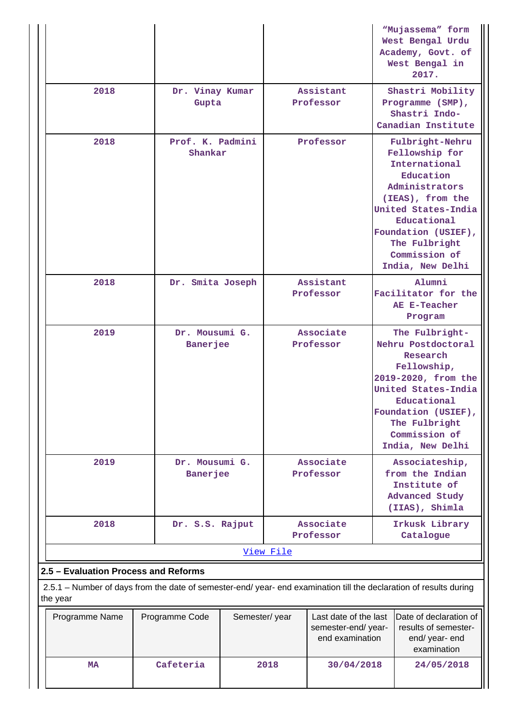|                                                                                                                                                                        |                                   |               |                        |                                             |                                                                                       | "Mujassema" form<br>West Bengal Urdu<br>Academy, Govt. of<br>West Bengal in<br>2017.                                                                                                                                     |
|------------------------------------------------------------------------------------------------------------------------------------------------------------------------|-----------------------------------|---------------|------------------------|---------------------------------------------|---------------------------------------------------------------------------------------|--------------------------------------------------------------------------------------------------------------------------------------------------------------------------------------------------------------------------|
| 2018                                                                                                                                                                   | Dr. Vinay Kumar<br>Gupta          |               | Assistant<br>Professor |                                             |                                                                                       | Shastri Mobility<br>Programme (SMP),<br>Shastri Indo-<br>Canadian Institute                                                                                                                                              |
| 2018                                                                                                                                                                   | Prof. K. Padmini<br>Shankar       |               | Professor              |                                             |                                                                                       | Fulbright-Nehru<br>Fellowship for<br>International<br>Education<br>Administrators<br>(IEAS), from the<br>United States-India<br>Educational<br>Foundation (USIEF),<br>The Fulbright<br>Commission of<br>India, New Delhi |
| 2018                                                                                                                                                                   | Dr. Smita Joseph                  |               | Assistant<br>Professor |                                             |                                                                                       | Alumni<br>Facilitator for the<br>AE E-Teacher<br>Program                                                                                                                                                                 |
| 2019                                                                                                                                                                   | Dr. Mousumi G.<br>Banerjee        |               |                        | Associate<br>Professor                      |                                                                                       | The Fulbright-<br>Nehru Postdoctoral<br>Research<br>Fellowship,<br>2019-2020, from the<br>United States-India<br>Educational<br>Foundation (USIEF),<br>The Fulbright<br>Commission of<br>India, New Delhi                |
| 2019                                                                                                                                                                   | Dr. Mousumi G.<br><b>Banerjee</b> |               | Associate<br>Professor |                                             | Associateship,<br>from the Indian<br>Institute of<br>Advanced Study<br>(IIAS), Shimla |                                                                                                                                                                                                                          |
| 2018                                                                                                                                                                   | Dr. S.S. Rajput                   |               |                        | Associate<br>Professor                      |                                                                                       | Irkusk Library<br>Catalogue                                                                                                                                                                                              |
|                                                                                                                                                                        |                                   |               | View File              |                                             |                                                                                       |                                                                                                                                                                                                                          |
| 2.5 - Evaluation Process and Reforms<br>2.5.1 – Number of days from the date of semester-end/ year- end examination till the declaration of results during<br>the year |                                   |               |                        |                                             |                                                                                       |                                                                                                                                                                                                                          |
| Programme Name                                                                                                                                                         | Programme Code                    | Semester/year |                        | Last date of the last<br>semester-end/year- |                                                                                       | Date of declaration of<br>results of semester-                                                                                                                                                                           |
|                                                                                                                                                                        |                                   |               |                        | end examination                             |                                                                                       | end/ year- end<br>examination                                                                                                                                                                                            |
| <b>MA</b>                                                                                                                                                              | Cafeteria                         |               | 2018                   | 30/04/2018                                  |                                                                                       | 24/05/2018                                                                                                                                                                                                               |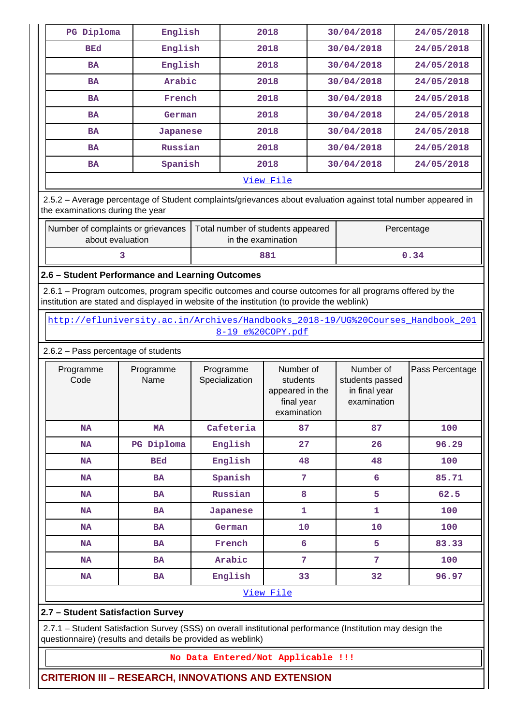| PG Diploma | English  | 2018 | 30/04/2018 | 24/05/2018 |  |  |
|------------|----------|------|------------|------------|--|--|
| <b>BEd</b> | English  | 2018 | 30/04/2018 | 24/05/2018 |  |  |
| <b>BA</b>  | English  | 2018 | 30/04/2018 | 24/05/2018 |  |  |
| <b>BA</b>  | Arabic   | 2018 | 30/04/2018 | 24/05/2018 |  |  |
| <b>BA</b>  | French   | 2018 | 30/04/2018 | 24/05/2018 |  |  |
| <b>BA</b>  | German   | 2018 | 30/04/2018 | 24/05/2018 |  |  |
| <b>BA</b>  | Japanese | 2018 | 30/04/2018 | 24/05/2018 |  |  |
| <b>BA</b>  | Russian  | 2018 | 30/04/2018 | 24/05/2018 |  |  |
| <b>BA</b>  | Spanish  | 2018 | 30/04/2018 | 24/05/2018 |  |  |
| View File  |          |      |            |            |  |  |

 2.5.2 – Average percentage of Student complaints/grievances about evaluation against total number appeared in the examinations during the year

| Number of complaints or grievances<br>about evaluation | Total number of students appeared<br>in the examination | Percentage |
|--------------------------------------------------------|---------------------------------------------------------|------------|
|                                                        | 881                                                     | 0.34       |

**2.6 – Student Performance and Learning Outcomes**

 2.6.1 – Program outcomes, program specific outcomes and course outcomes for all programs offered by the institution are stated and displayed in website of the institution (to provide the weblink)

 [http://efluniversity.ac.in/Archives/Handbooks\\_2018-19/UG%20Courses\\_Handbook\\_201](http://efluniversity.ac.in/Archives/Handbooks_2018-19/UG%20Courses_Handbook_2018-19_e%20COPY.pdf) [8-19\\_e%20COPY.pdf](http://efluniversity.ac.in/Archives/Handbooks_2018-19/UG%20Courses_Handbook_2018-19_e%20COPY.pdf)

### 2.6.2 – Pass percentage of students

| Programme<br>Code | Programme<br>Name | Programme<br>Specialization | Number of<br>students<br>appeared in the<br>final year<br>examination | Number of<br>students passed<br>in final year<br>examination | Pass Percentage |  |  |
|-------------------|-------------------|-----------------------------|-----------------------------------------------------------------------|--------------------------------------------------------------|-----------------|--|--|
| <b>NA</b>         | <b>MA</b>         | Cafeteria                   | 87                                                                    | 87                                                           | 100             |  |  |
| <b>NA</b>         | PG Diploma        | English                     | 27                                                                    | 26                                                           | 96.29           |  |  |
| <b>NA</b>         | <b>BEd</b>        | English                     | 48                                                                    | 48                                                           | 100             |  |  |
| <b>NA</b>         | <b>BA</b>         | Spanish                     | 7                                                                     | 6                                                            | 85.71           |  |  |
| <b>NA</b>         | <b>BA</b>         | Russian                     | 8                                                                     | 5                                                            | 62.5            |  |  |
| <b>NA</b>         | <b>BA</b>         | Japanese                    | 1                                                                     | 1                                                            | 100             |  |  |
| <b>NA</b>         | <b>BA</b>         | German                      | 10                                                                    | 10                                                           | 100             |  |  |
| <b>NA</b>         | <b>BA</b>         | French                      | 6                                                                     | 5                                                            | 83.33           |  |  |
| <b>NA</b>         | <b>BA</b>         | Arabic                      | 7                                                                     | 7                                                            | 100             |  |  |
| <b>NA</b>         | <b>BA</b>         | English                     | 33                                                                    | 32                                                           | 96.97           |  |  |
| View File         |                   |                             |                                                                       |                                                              |                 |  |  |

# **2.7 – Student Satisfaction Survey**

 2.7.1 – Student Satisfaction Survey (SSS) on overall institutional performance (Institution may design the questionnaire) (results and details be provided as weblink)

#### **No Data Entered/Not Applicable !!!**

**CRITERION III – RESEARCH, INNOVATIONS AND EXTENSION**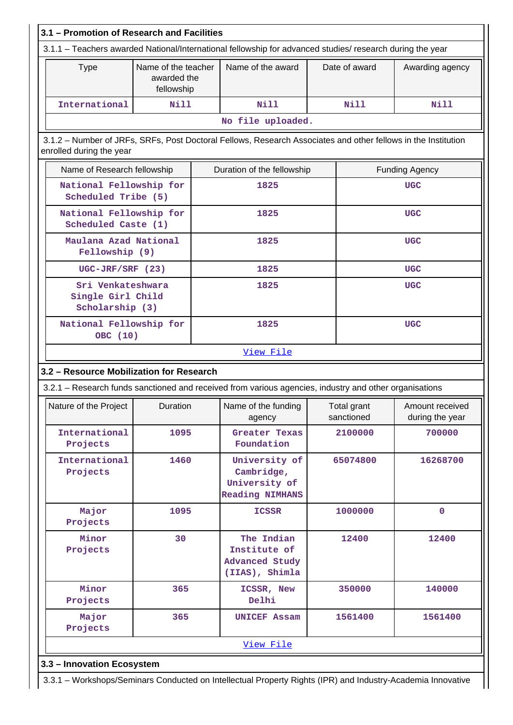| Name of the teacher<br><b>Type</b>                                                                     |                           |  | Name of the award                                                                                             | Date of award             | Awarding agency            |  |  |
|--------------------------------------------------------------------------------------------------------|---------------------------|--|---------------------------------------------------------------------------------------------------------------|---------------------------|----------------------------|--|--|
|                                                                                                        | awarded the<br>fellowship |  |                                                                                                               |                           |                            |  |  |
| International                                                                                          | <b>Nill</b>               |  | Nill                                                                                                          | <b>Nill</b>               | <b>Nill</b>                |  |  |
|                                                                                                        |                           |  | No file uploaded.                                                                                             |                           |                            |  |  |
| enrolled during the year                                                                               |                           |  | 3.1.2 – Number of JRFs, SRFs, Post Doctoral Fellows, Research Associates and other fellows in the Institution |                           |                            |  |  |
| Name of Research fellowship                                                                            |                           |  | Duration of the fellowship                                                                                    |                           | <b>Funding Agency</b>      |  |  |
| National Fellowship for<br>Scheduled Tribe (5)                                                         |                           |  | 1825                                                                                                          |                           | <b>UGC</b>                 |  |  |
| National Fellowship for<br>Scheduled Caste (1)                                                         |                           |  | 1825                                                                                                          |                           | <b>UGC</b>                 |  |  |
| Maulana Azad National<br>Fellowship (9)                                                                |                           |  | 1825                                                                                                          |                           | <b>UGC</b>                 |  |  |
| $UGC-JRF/SRF (23)$                                                                                     |                           |  | 1825                                                                                                          |                           | <b>UGC</b>                 |  |  |
| Sri Venkateshwara<br>Single Girl Child<br>Scholarship (3)                                              |                           |  | 1825                                                                                                          |                           | <b>UGC</b>                 |  |  |
| National Fellowship for<br>OBC (10)                                                                    |                           |  | 1825                                                                                                          |                           | <b>UGC</b>                 |  |  |
|                                                                                                        |                           |  | View File                                                                                                     |                           |                            |  |  |
| 3.2 - Resource Mobilization for Research                                                               |                           |  |                                                                                                               |                           |                            |  |  |
| 3.2.1 - Research funds sanctioned and received from various agencies, industry and other organisations |                           |  |                                                                                                               |                           |                            |  |  |
|                                                                                                        |                           |  |                                                                                                               |                           |                            |  |  |
| Nature of the Project                                                                                  | Duration                  |  | Name of the funding $\vert$<br>agency                                                                         | Total grant<br>sanctioned | during the year            |  |  |
| International<br>Projects                                                                              | 1095                      |  | Greater Texas<br>Foundation                                                                                   | 2100000                   | 700000                     |  |  |
| International<br>Projects                                                                              | 1460                      |  | University of<br>Cambridge,<br>University of<br><b>Reading NIMHANS</b>                                        | 65074800                  | 16268700                   |  |  |
| Major<br>Projects                                                                                      | 1095                      |  | <b>ICSSR</b>                                                                                                  | 1000000                   | $\mathbf{O}$               |  |  |
| Minor<br>Projects                                                                                      | 30                        |  | The Indian<br>Institute of<br><b>Advanced Study</b><br>(IIAS), Shimla                                         | 12400                     | 12400                      |  |  |
| Minor<br>Projects                                                                                      | 365                       |  | ICSSR, New<br>Delhi                                                                                           | 350000                    | 140000                     |  |  |
| Major<br>Projects                                                                                      | 365                       |  | <b>UNICEF Assam</b>                                                                                           | 1561400                   | Amount received<br>1561400 |  |  |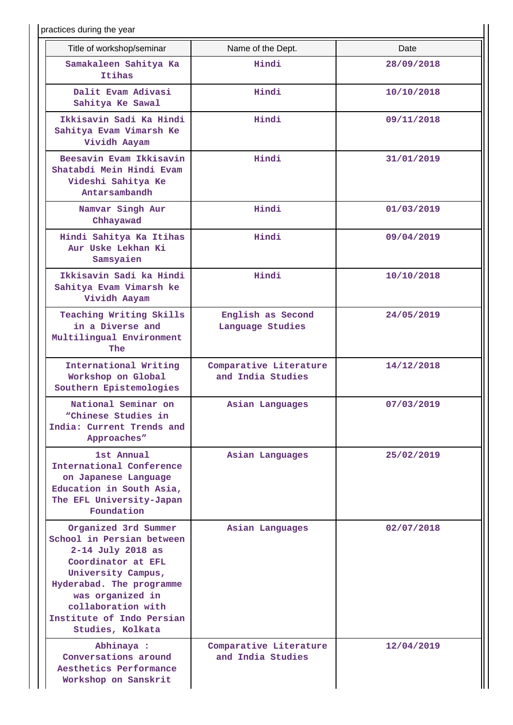| practices during the year                                                                                                                                                                                                                 |                                             |            |
|-------------------------------------------------------------------------------------------------------------------------------------------------------------------------------------------------------------------------------------------|---------------------------------------------|------------|
| Title of workshop/seminar                                                                                                                                                                                                                 | Name of the Dept.                           | Date       |
| Samakaleen Sahitya Ka<br>Itihas                                                                                                                                                                                                           | Hindi                                       | 28/09/2018 |
| Dalit Evam Adivasi<br>Sahitya Ke Sawal                                                                                                                                                                                                    | Hindi                                       | 10/10/2018 |
| Ikkisavin Sadi Ka Hindi<br>Sahitya Evam Vimarsh Ke<br>Vividh Aayam                                                                                                                                                                        | Hindi                                       | 09/11/2018 |
| Beesavin Evam Ikkisavin<br>Shatabdi Mein Hindi Evam<br>Videshi Sahitya Ke<br>Antarsambandh                                                                                                                                                | Hindi                                       | 31/01/2019 |
| Namvar Singh Aur<br>Chhayawad                                                                                                                                                                                                             | Hindi                                       | 01/03/2019 |
| Hindi Sahitya Ka Itihas<br>Aur Uske Lekhan Ki<br>Samsyaien                                                                                                                                                                                | Hindi                                       | 09/04/2019 |
| Ikkisavin Sadi ka Hindi<br>Sahitya Evam Vimarsh ke<br>Vividh Aayam                                                                                                                                                                        | Hindi                                       | 10/10/2018 |
| Teaching Writing Skills<br>in a Diverse and<br>Multilingual Environment<br>The                                                                                                                                                            | English as Second<br>Language Studies       | 24/05/2019 |
| International Writing<br>Workshop on Global<br>Southern Epistemologies                                                                                                                                                                    | Comparative Literature<br>and India Studies | 14/12/2018 |
| National Seminar on<br>"Chinese Studies in<br>India: Current Trends and<br>Approaches"                                                                                                                                                    | Asian Languages                             | 07/03/2019 |
| 1st Annual<br>International Conference<br>on Japanese Language<br>Education in South Asia,<br>The EFL University-Japan<br>Foundation                                                                                                      | Asian Languages                             | 25/02/2019 |
| Organized 3rd Summer<br>School in Persian between<br>2-14 July 2018 as<br>Coordinator at EFL<br>University Campus,<br>Hyderabad. The programme<br>was organized in<br>collaboration with<br>Institute of Indo Persian<br>Studies, Kolkata | Asian Languages                             | 02/07/2018 |
| Abhinaya :<br>Conversations around<br>Aesthetics Performance<br>Workshop on Sanskrit                                                                                                                                                      | Comparative Literature<br>and India Studies | 12/04/2019 |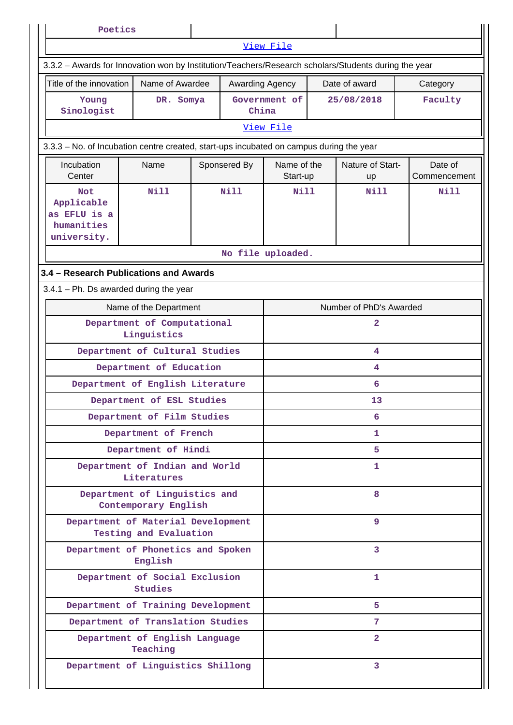| Poetics                                                                                 |                                                                                                      |              |                         |                              |                        |                         |  |
|-----------------------------------------------------------------------------------------|------------------------------------------------------------------------------------------------------|--------------|-------------------------|------------------------------|------------------------|-------------------------|--|
|                                                                                         |                                                                                                      |              | View File               |                              |                        |                         |  |
|                                                                                         | 3.3.2 - Awards for Innovation won by Institution/Teachers/Research scholars/Students during the year |              |                         |                              |                        |                         |  |
| Title of the innovation                                                                 | Name of Awardee                                                                                      |              | Awarding Agency         | Date of award                |                        | Category                |  |
| Young                                                                                   | DR. Somya                                                                                            |              | Government of           |                              | 25/08/2018             | Faculty                 |  |
| Sinologist                                                                              |                                                                                                      |              | China<br>View File      |                              |                        |                         |  |
|                                                                                         |                                                                                                      |              |                         |                              |                        |                         |  |
| 3.3.3 - No. of Incubation centre created, start-ups incubated on campus during the year |                                                                                                      |              |                         |                              |                        |                         |  |
| Incubation<br>Center                                                                    | Name                                                                                                 | Sponsered By | Name of the<br>Start-up |                              | Nature of Start-<br>up | Date of<br>Commencement |  |
| <b>Not</b><br>Applicable<br>as EFLU is a<br>humanities<br>university.                   | Nill                                                                                                 | Nill         | Nill                    |                              | N <sub>1</sub> 11      | Nill                    |  |
|                                                                                         |                                                                                                      |              | No file uploaded.       |                              |                        |                         |  |
|                                                                                         |                                                                                                      |              |                         |                              |                        |                         |  |
|                                                                                         | 3.4 - Research Publications and Awards<br>$3.4.1$ – Ph. Ds awarded during the year                   |              |                         |                              |                        |                         |  |
|                                                                                         | Name of the Department                                                                               |              |                         |                              |                        |                         |  |
|                                                                                         | Department of Computational                                                                          |              |                         | Number of PhD's Awarded<br>2 |                        |                         |  |
|                                                                                         | Linguistics                                                                                          |              |                         |                              |                        |                         |  |
|                                                                                         | Department of Cultural Studies                                                                       |              |                         |                              | 4                      |                         |  |
|                                                                                         | Department of Education                                                                              |              |                         |                              | 4                      |                         |  |
|                                                                                         | Department of English Literature                                                                     |              |                         |                              | 6                      |                         |  |
|                                                                                         | Department of ESL Studies                                                                            |              |                         | 13                           |                        |                         |  |
|                                                                                         | Department of Film Studies                                                                           |              |                         | 6                            |                        |                         |  |
|                                                                                         | Department of French                                                                                 |              |                         |                              | 1                      |                         |  |
|                                                                                         | Department of Hindi                                                                                  |              |                         |                              | 5.                     |                         |  |
|                                                                                         | Department of Indian and World<br>Literatures                                                        |              |                         |                              | 1                      |                         |  |
|                                                                                         | Department of Linguistics and<br>Contemporary English                                                |              |                         | 8                            |                        |                         |  |
|                                                                                         | Department of Material Development<br>Testing and Evaluation                                         |              |                         | 9                            |                        |                         |  |
|                                                                                         | Department of Phonetics and Spoken<br>English                                                        |              |                         | $\overline{3}$               |                        |                         |  |
|                                                                                         | Department of Social Exclusion<br><b>Studies</b>                                                     |              |                         |                              | $\mathbf{1}$           |                         |  |
|                                                                                         | Department of Training Development                                                                   |              |                         |                              | 5                      |                         |  |
|                                                                                         | Department of Translation Studies                                                                    |              |                         |                              | 7                      |                         |  |
|                                                                                         | Department of English Language<br>Teaching                                                           |              |                         |                              | $\overline{2}$         |                         |  |
|                                                                                         | Department of Linguistics Shillong                                                                   |              |                         |                              | 3                      |                         |  |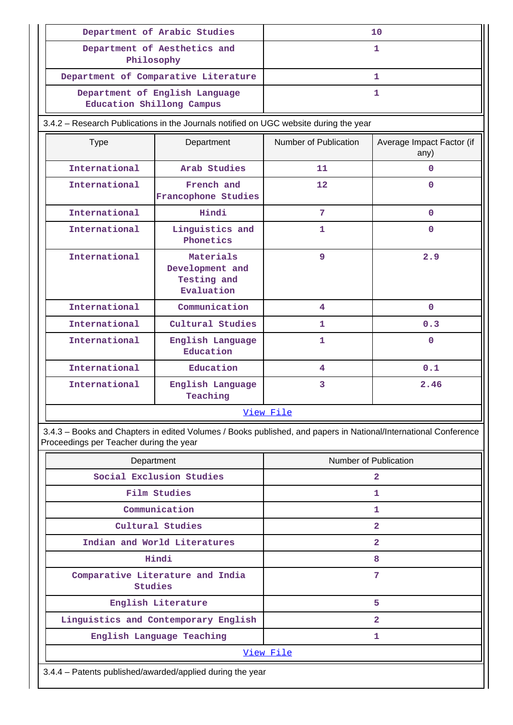|                                                                                       | Department of Arabic Studies                              | 10                    |                                   |  |
|---------------------------------------------------------------------------------------|-----------------------------------------------------------|-----------------------|-----------------------------------|--|
| Philosophy                                                                            | Department of Aesthetics and                              | $\mathbf{1}$          |                                   |  |
|                                                                                       | Department of Comparative Literature                      |                       | 1                                 |  |
| Education Shillong Campus                                                             | Department of English Language                            | 1                     |                                   |  |
| 3.4.2 - Research Publications in the Journals notified on UGC website during the year |                                                           |                       |                                   |  |
| <b>Type</b>                                                                           | Department                                                | Number of Publication | Average Impact Factor (if<br>any) |  |
| International                                                                         | Arab Studies                                              | 11                    | 0                                 |  |
| International                                                                         | French and<br>Francophone Studies                         | $12 \,$               | $\Omega$                          |  |
| International                                                                         | Hindi                                                     | 7                     | 0                                 |  |
| International                                                                         | Linguistics and<br>Phonetics                              | 1                     | $\Omega$                          |  |
| International                                                                         | Materials<br>Development and<br>Testing and<br>Evaluation |                       | 2.9                               |  |
| International                                                                         | Communication                                             | 4                     | $\Omega$                          |  |
| International                                                                         | Cultural Studies                                          | 1                     | 0.3                               |  |
| International                                                                         | English Language<br>Education                             | 1                     | $\Omega$                          |  |
| International                                                                         | Education                                                 | 4                     | 0.1                               |  |
| International                                                                         | English Language<br>Teaching                              | 3                     | 2.46                              |  |
|                                                                                       |                                                           | View File             |                                   |  |

 3.4.3 – Books and Chapters in edited Volumes / Books published, and papers in National/International Conference Proceedings per Teacher during the year

| Department                                                | Number of Publication |  |  |  |
|-----------------------------------------------------------|-----------------------|--|--|--|
| Social Exclusion Studies                                  | 2                     |  |  |  |
| Film Studies                                              | 1                     |  |  |  |
| Communication                                             | 1                     |  |  |  |
| Cultural Studies                                          | 2                     |  |  |  |
| Indian and World Literatures                              | $\overline{2}$        |  |  |  |
| Hindi                                                     | 8                     |  |  |  |
| Comparative Literature and India<br>Studies               | 7                     |  |  |  |
| English Literature                                        | 5                     |  |  |  |
| Linguistics and Contemporary English                      | 2                     |  |  |  |
| English Language Teaching                                 | 1                     |  |  |  |
|                                                           | View File             |  |  |  |
| 3.4.4 - Patents published/awarded/applied during the year |                       |  |  |  |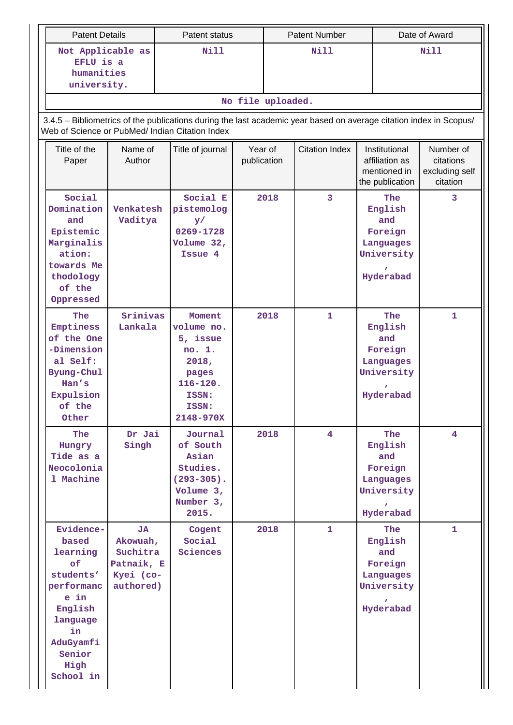| <b>Patent Details</b>                                                                                                                                                 |                                                                           |  | Patent status                                                                                               |                        | <b>Patent Number</b> |                       |  | Date of Award                                                            |                                                      |  |
|-----------------------------------------------------------------------------------------------------------------------------------------------------------------------|---------------------------------------------------------------------------|--|-------------------------------------------------------------------------------------------------------------|------------------------|----------------------|-----------------------|--|--------------------------------------------------------------------------|------------------------------------------------------|--|
|                                                                                                                                                                       | Not Applicable as<br>EFLU is a<br>humanities<br>university.               |  | Nill                                                                                                        |                        | <b>Nill</b>          |                       |  | <b>Nill</b>                                                              |                                                      |  |
|                                                                                                                                                                       |                                                                           |  |                                                                                                             | No file uploaded.      |                      |                       |  |                                                                          |                                                      |  |
| 3.4.5 - Bibliometrics of the publications during the last academic year based on average citation index in Scopus/<br>Web of Science or PubMed/ Indian Citation Index |                                                                           |  |                                                                                                             |                        |                      |                       |  |                                                                          |                                                      |  |
| Title of the<br>Paper                                                                                                                                                 | Name of<br>Author                                                         |  | Title of journal                                                                                            | Year of<br>publication |                      | <b>Citation Index</b> |  | Institutional<br>affiliation as<br>mentioned in<br>the publication       | Number of<br>citations<br>excluding self<br>citation |  |
| Social<br>Domination<br>and<br>Epistemic<br>Marginalis<br>ation:<br>towards Me<br>thodology<br>of the<br>Oppressed                                                    | Venkatesh<br>Vaditya<br>Srinivas<br>Lankala                               |  | Social E<br>pistemolog<br>$\mathbf{y}/$<br>0269-1728<br>Volume $32,$<br>Issue 4                             |                        | 2018                 | 3                     |  | The<br>English<br>and<br>Foreign<br>Languages<br>University<br>Hyderabad | 3                                                    |  |
| The<br>Emptiness<br>of the One<br>-Dimension<br>al Self:<br>Byung-Chul<br>Han's<br>Expulsion<br>of the<br>Other                                                       |                                                                           |  | Moment<br>volume no.<br>5, issue<br>no. 1.<br>2018,<br>pages<br>$116 - 120.$<br>ISSN:<br>ISSN:<br>2148-970X |                        | 2018                 | 1                     |  | The<br>English<br>and<br>Foreign<br>Languages<br>University<br>Hyderabad | 1                                                    |  |
| <b>The</b><br>Hungry<br>Tide as a<br>Neocolonia<br>1 Machine                                                                                                          | Dr Jai<br>Singh                                                           |  | Journal<br>of South<br>Asian<br>Studies.<br>$(293 - 305)$ .<br>Volume 3,<br>Number 3,<br>2015.              |                        | 2018                 | $\overline{4}$        |  | The<br>English<br>and<br>Foreign<br>Languages<br>University<br>Hyderabad | 4                                                    |  |
| Evidence-<br>based<br>learning<br>of<br>students'<br>performanc<br>e in<br>English<br>language<br>in<br>AduGyamfi<br>Senior<br>High<br>School in                      | <b>JA</b><br>Akowuah,<br>Suchitra<br>Patnaik, E<br>Kyei (co-<br>authored) |  | Cogent<br>Social<br>Sciences                                                                                |                        | 2018                 | $\mathbf{1}$          |  | The<br>English<br>and<br>Foreign<br>Languages<br>University<br>Hyderabad | $\mathbf{1}$                                         |  |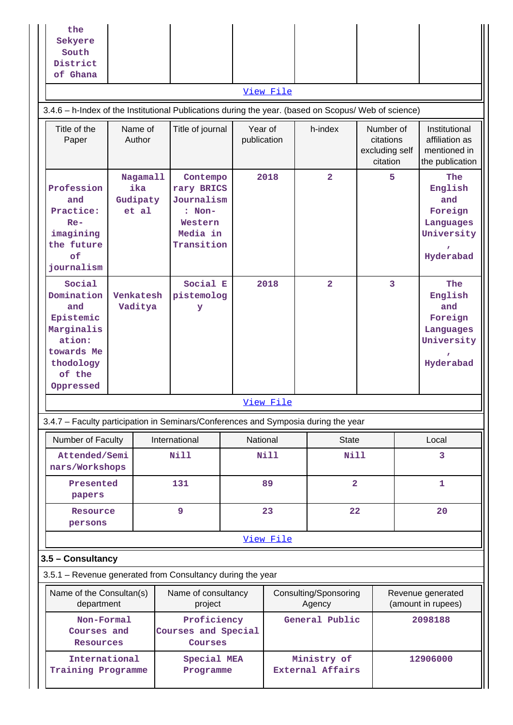| the<br>Sekyere<br>South<br>District<br>of Ghana                                                                               |                                                                                                           |                      |                                                                                       |                        |           |                                        |                |                                                      |  |                                                                          |
|-------------------------------------------------------------------------------------------------------------------------------|-----------------------------------------------------------------------------------------------------------|----------------------|---------------------------------------------------------------------------------------|------------------------|-----------|----------------------------------------|----------------|------------------------------------------------------|--|--------------------------------------------------------------------------|
|                                                                                                                               |                                                                                                           |                      |                                                                                       |                        | View File |                                        |                |                                                      |  |                                                                          |
| 3.4.6 - h-Index of the Institutional Publications during the year. (based on Scopus/ Web of science)<br>Title of the<br>Paper | Name of<br>Author<br>Nagamall<br>ika<br>and<br>Gudipaty<br>Practice:<br>et al<br>$Re-$<br>imagining<br>of |                      | Title of journal                                                                      | Year of<br>publication |           | h-index                                |                | Number of<br>citations<br>excluding self<br>citation |  | Institutional<br>affiliation as<br>mentioned in<br>the publication       |
| Profession<br>the future<br>journalism                                                                                        |                                                                                                           |                      | Contempo<br>rary BRICS<br>Journalism<br>$: Non-$<br>Western<br>Media in<br>Transition |                        | 2018      | $\overline{2}$                         |                | 5                                                    |  | The<br>English<br>and<br>Foreign<br>Languages<br>University<br>Hyderabad |
| Social<br>Domination<br>and<br>Epistemic<br>Marginalis<br>ation:<br>towards Me<br>thodology<br>of the<br>Oppressed            |                                                                                                           | Venkatesh<br>Vaditya | Social E<br>pistemolog<br>У                                                           |                        | 2018      | $\overline{2}$                         |                | 3                                                    |  | The<br>English<br>and<br>Foreign<br>Languages<br>University<br>Hyderabad |
|                                                                                                                               |                                                                                                           |                      |                                                                                       |                        | View File |                                        |                |                                                      |  |                                                                          |
| 3.4.7 - Faculty participation in Seminars/Conferences and Symposia during the year                                            |                                                                                                           |                      |                                                                                       |                        |           |                                        |                |                                                      |  |                                                                          |
| Number of Faculty                                                                                                             |                                                                                                           |                      | International                                                                         | National               |           |                                        | <b>State</b>   |                                                      |  | Local                                                                    |
| Attended/Semi<br>nars/Workshops                                                                                               |                                                                                                           |                      | <b>Nill</b>                                                                           |                        | Nill      |                                        | <b>Nill</b>    |                                                      |  | 3                                                                        |
| Presented<br>papers                                                                                                           |                                                                                                           |                      | 131                                                                                   |                        | 89        |                                        | $\overline{2}$ |                                                      |  | $\mathbf{1}$                                                             |
| Resource<br>persons                                                                                                           |                                                                                                           |                      | 9                                                                                     |                        | 23        |                                        | 22             |                                                      |  | 20                                                                       |
|                                                                                                                               |                                                                                                           |                      |                                                                                       |                        | View File |                                        |                |                                                      |  |                                                                          |
| 3.5 - Consultancy                                                                                                             |                                                                                                           |                      |                                                                                       |                        |           |                                        |                |                                                      |  |                                                                          |
| 3.5.1 - Revenue generated from Consultancy during the year                                                                    |                                                                                                           |                      |                                                                                       |                        |           |                                        |                |                                                      |  |                                                                          |
| Name of the Consultan(s)<br>department                                                                                        |                                                                                                           |                      | Name of consultancy<br>project                                                        |                        |           | Consulting/Sponsoring<br>Agency        |                |                                                      |  | Revenue generated<br>(amount in rupees)                                  |
| Non-Formal<br>Courses and<br>Resources                                                                                        |                                                                                                           |                      | Proficiency<br>Courses and Special<br>Courses                                         |                        |           | General Public                         |                |                                                      |  | 2098188                                                                  |
| International<br>Training Programme                                                                                           |                                                                                                           |                      | Special MEA<br>Programme                                                              |                        |           | Ministry of<br><b>External Affairs</b> |                |                                                      |  | 12906000                                                                 |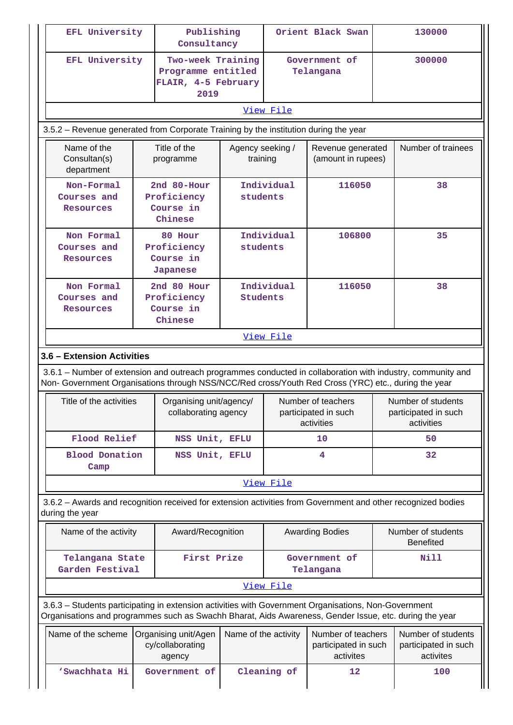| EFL University                                                                                                                                                                                                 | Publishing<br>Consultancy                             |                                                                        |                   | Orient Black Swan                                        | 130000                                                                                                       |  |  |
|----------------------------------------------------------------------------------------------------------------------------------------------------------------------------------------------------------------|-------------------------------------------------------|------------------------------------------------------------------------|-------------------|----------------------------------------------------------|--------------------------------------------------------------------------------------------------------------|--|--|
| EFL University                                                                                                                                                                                                 |                                                       | Two-week Training<br>Programme entitled<br>FLAIR, 4-5 February<br>2019 |                   | Government of<br>Telangana                               | 300000                                                                                                       |  |  |
|                                                                                                                                                                                                                |                                                       |                                                                        | View File         |                                                          |                                                                                                              |  |  |
| 3.5.2 – Revenue generated from Corporate Training by the institution during the year                                                                                                                           |                                                       |                                                                        |                   |                                                          |                                                                                                              |  |  |
| Name of the<br>Consultan(s)<br>department                                                                                                                                                                      | Title of the<br>programme                             | Agency seeking /<br>training                                           |                   | Revenue generated<br>(amount in rupees)                  | Number of trainees                                                                                           |  |  |
| Non-Formal<br>Courses and<br><b>Resources</b>                                                                                                                                                                  | 2nd $80$ -Hour<br>Proficiency<br>Course in<br>Chinese | students                                                               | Individual        | 116050                                                   | 38                                                                                                           |  |  |
| Non Formal<br>Courses and<br>Resources                                                                                                                                                                         | 80 Hour<br>Proficiency<br>Course in<br>Japanese       | students                                                               | Individual        | 106800                                                   | 35                                                                                                           |  |  |
| Non Formal<br>Courses and<br>Resources                                                                                                                                                                         | 2nd 80 Hour<br>Proficiency<br>Course in<br>Chinese    | Students                                                               | Individual        | 116050                                                   | 38                                                                                                           |  |  |
| Non- Government Organisations through NSS/NCC/Red cross/Youth Red Cross (YRC) etc., during the year<br>Title of the activities                                                                                 | Organising unit/agency/<br>collaborating agency       |                                                                        |                   | Number of teachers<br>participated in such<br>activities | Number of students<br>participated in such<br>activities                                                     |  |  |
| Flood Relief                                                                                                                                                                                                   | NSS Unit, EFLU                                        |                                                                        |                   | 10                                                       | 50                                                                                                           |  |  |
| <b>Blood Donation</b><br>Camp                                                                                                                                                                                  |                                                       | NSS Unit, EFLU                                                         |                   | 4                                                        | 32                                                                                                           |  |  |
|                                                                                                                                                                                                                |                                                       |                                                                        | View File         |                                                          |                                                                                                              |  |  |
| during the year                                                                                                                                                                                                |                                                       |                                                                        |                   |                                                          | 3.6.2 - Awards and recognition received for extension activities from Government and other recognized bodies |  |  |
| Name of the activity                                                                                                                                                                                           | Award/Recognition                                     |                                                                        |                   | <b>Awarding Bodies</b>                                   | Number of students<br><b>Benefited</b>                                                                       |  |  |
| Telangana State<br>Garden Festival                                                                                                                                                                             | First Prize                                           |                                                                        |                   | Government of<br>Telangana                               | Nill                                                                                                         |  |  |
|                                                                                                                                                                                                                |                                                       |                                                                        | View File         |                                                          |                                                                                                              |  |  |
| 3.6.3 - Students participating in extension activities with Government Organisations, Non-Government<br>Organisations and programmes such as Swachh Bharat, Aids Awareness, Gender Issue, etc. during the year |                                                       |                                                                        |                   |                                                          |                                                                                                              |  |  |
| Name of the scheme                                                                                                                                                                                             | Organising unit/Agen<br>cy/collaborating<br>agency    | Name of the activity                                                   |                   | Number of teachers<br>participated in such<br>activites  | Number of students<br>participated in such<br>activites                                                      |  |  |
| 'Swachhata Hi                                                                                                                                                                                                  | Government of                                         |                                                                        | Cleaning of<br>12 |                                                          | 100                                                                                                          |  |  |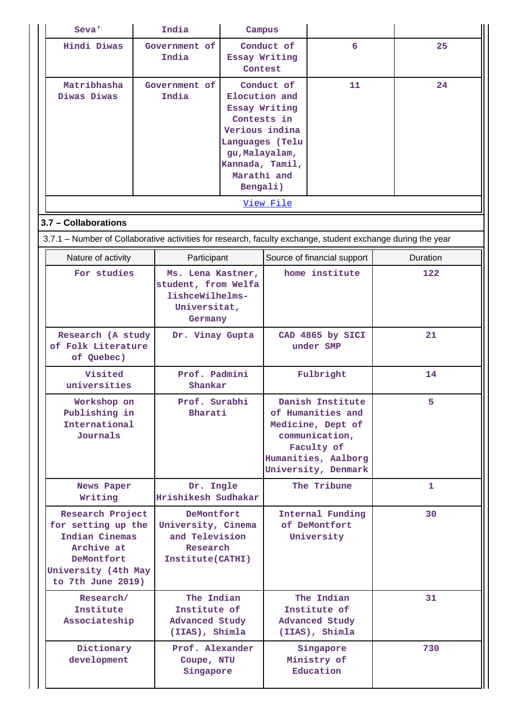| Seva'                                                                                                                            | India                                                                                  | Campus                   |                                                                                                                                                                  |                                                                                                                                          |              |
|----------------------------------------------------------------------------------------------------------------------------------|----------------------------------------------------------------------------------------|--------------------------|------------------------------------------------------------------------------------------------------------------------------------------------------------------|------------------------------------------------------------------------------------------------------------------------------------------|--------------|
| <b>Hindi Diwas</b>                                                                                                               | Government of<br>India                                                                 | Essay Writing<br>Contest | Conduct of                                                                                                                                                       | 6                                                                                                                                        | 25           |
| Matribhasha<br>Diwas Diwas                                                                                                       | Government of<br>India                                                                 |                          | Conduct of<br>Elocution and<br>Essay Writing<br>Contests in<br>Verious indina<br>Languages (Telu<br>gu, Malayalam,<br>Kannada, Tamil,<br>Marathi and<br>Bengali) | 11                                                                                                                                       | 24           |
|                                                                                                                                  |                                                                                        |                          | View File                                                                                                                                                        |                                                                                                                                          |              |
| 3.7 - Collaborations                                                                                                             |                                                                                        |                          |                                                                                                                                                                  |                                                                                                                                          |              |
| 3.7.1 – Number of Collaborative activities for research, faculty exchange, student exchange during the year                      |                                                                                        |                          |                                                                                                                                                                  |                                                                                                                                          |              |
| Nature of activity                                                                                                               | Participant                                                                            |                          |                                                                                                                                                                  | Source of financial support<br>home institute                                                                                            | Duration     |
| For studies                                                                                                                      | Ms. Lena Kastner,<br>student, from Welfa<br>lishceWilhelms-<br>Universitat,<br>Germany |                          |                                                                                                                                                                  |                                                                                                                                          | 122          |
| Research (A study<br>of Folk Literature<br>of Quebec)                                                                            | Dr. Vinay Gupta                                                                        |                          |                                                                                                                                                                  | CAD 4865 by SICI<br>under SMP                                                                                                            | 21           |
| Visited<br>universities                                                                                                          |                                                                                        | Prof. Padmini<br>Shankar |                                                                                                                                                                  | Fulbright                                                                                                                                | 14           |
| Workshop on<br>Publishing in<br>International<br>Journals                                                                        | Prof. Surabhi<br>Bharati                                                               |                          |                                                                                                                                                                  | Danish Institute<br>of Humanities and<br>Medicine, Dept of<br>communication,<br>Faculty of<br>Humanities, Aalborg<br>University, Denmark | 5            |
| News Paper<br>Writing                                                                                                            | Dr. Ingle<br>Hrishikesh Sudhakar                                                       |                          |                                                                                                                                                                  | The Tribune                                                                                                                              | $\mathbf{1}$ |
| Research Project<br>for setting up the<br>Indian Cinemas<br>Archive at<br>DeMontfort<br>University (4th May<br>to 7th June 2019) | DeMontfort<br>University, Cinema<br>and Television<br>Research<br>Institute(CATHI)     |                          |                                                                                                                                                                  | Internal Funding<br>of DeMontfort<br>University                                                                                          | 30           |
| Research/<br>Institute<br>Associateship                                                                                          | The Indian<br>Institute of<br><b>Advanced Study</b><br>(IIAS), Shimla                  |                          |                                                                                                                                                                  | The Indian<br>Institute of<br><b>Advanced Study</b><br>(IIAS), Shimla                                                                    | 31           |
| Dictionary<br>development                                                                                                        | Prof. Alexander<br>Coupe, NTU<br>Singapore                                             |                          |                                                                                                                                                                  | Singapore<br>Ministry of<br>Education                                                                                                    | 730          |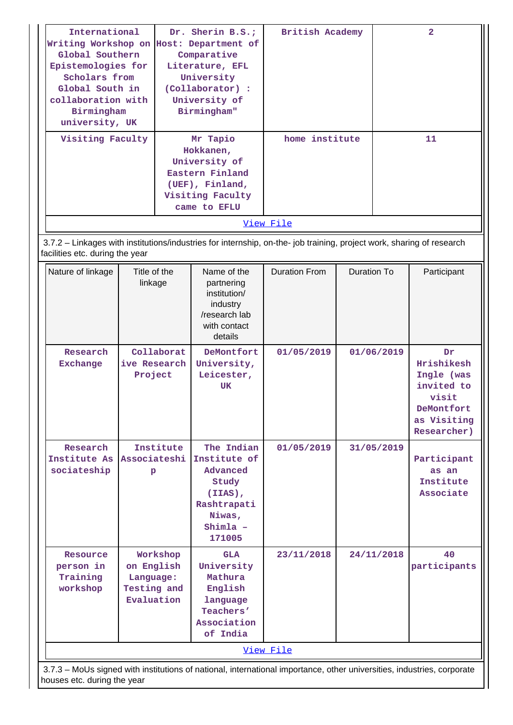| International<br>Writing Workshop on Host: Department of<br>Global Southern<br>Epistemologies for<br>Scholars from<br>Global South in<br>collaboration with<br>Birmingham<br>university, UK<br>Visiting Faculty |                                | Comparative<br>Literature, EFL<br>University<br>(Collaborator) :<br>University of<br>Birmingham"<br>Mr Tapio<br>Hokkanen,<br>University of<br>Eastern Finland<br>(UEF), Finland,<br>Visiting Faculty<br>came to EFLU |                                                                                                             | British Academy<br>home institute |                                                                                                   |                    | 2<br>11                                        |
|-----------------------------------------------------------------------------------------------------------------------------------------------------------------------------------------------------------------|--------------------------------|----------------------------------------------------------------------------------------------------------------------------------------------------------------------------------------------------------------------|-------------------------------------------------------------------------------------------------------------|-----------------------------------|---------------------------------------------------------------------------------------------------|--------------------|------------------------------------------------|
|                                                                                                                                                                                                                 |                                |                                                                                                                                                                                                                      |                                                                                                             | View File                         |                                                                                                   |                    |                                                |
| 3.7.2 - Linkages with institutions/industries for internship, on-the- job training, project work, sharing of research<br>facilities etc. during the year                                                        |                                |                                                                                                                                                                                                                      |                                                                                                             |                                   |                                                                                                   |                    |                                                |
| Title of the<br>Nature of linkage<br>linkage                                                                                                                                                                    |                                |                                                                                                                                                                                                                      | Name of the<br>partnering<br>institution/<br>industry<br>/research lab<br>with contact<br>details           | <b>Duration From</b>              | <b>Duration To</b>                                                                                |                    | Participant                                    |
| Research<br><b>Exchange</b>                                                                                                                                                                                     |                                | Collaborat<br>DeMontfort<br>01/05/2019<br>01/06/2019<br>ive Research<br>University,<br>Project<br>Leicester,<br>UK                                                                                                   |                                                                                                             |                                   | Dr<br>Hrishikesh<br>Ingle (was<br>invited to<br>visit<br>DeMontfort<br>as Visiting<br>Researcher) |                    |                                                |
| Research<br>Institute As<br>sociateship                                                                                                                                                                         | Institute<br>Associateshi<br>р |                                                                                                                                                                                                                      | The Indian<br>Institute of<br>Advanced<br>Study<br>(IIAS),<br>Rashtrapati<br>Niwas,<br>$Shimla$ -<br>171005 | 01/05/2019                        |                                                                                                   | 31/05/2019         | Participant<br>as an<br>Institute<br>Associate |
| Workshop<br>Resource<br>on English<br>person in<br>Training<br>Language:<br>Testing and<br>workshop<br>Evaluation                                                                                               |                                | <b>GLA</b><br>University<br>Mathura<br>English<br>language<br>Teachers'<br>Association<br>of India                                                                                                                   | 23/11/2018                                                                                                  |                                   | 24/11/2018                                                                                        | 40<br>participants |                                                |
|                                                                                                                                                                                                                 |                                |                                                                                                                                                                                                                      |                                                                                                             | View File                         |                                                                                                   |                    |                                                |
| 3.7.3 - MoUs signed with institutions of national, international importance, other universities, industries, corporate<br>houses etc. during the year                                                           |                                |                                                                                                                                                                                                                      |                                                                                                             |                                   |                                                                                                   |                    |                                                |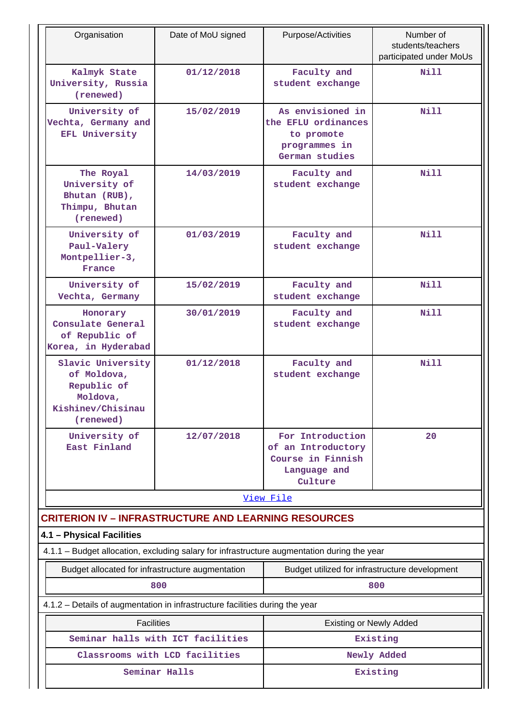| Organisation                                                                                  | Date of MoU signed                | Purpose/Activities                                                                       | Number of<br>students/teachers<br>participated under MoUs |
|-----------------------------------------------------------------------------------------------|-----------------------------------|------------------------------------------------------------------------------------------|-----------------------------------------------------------|
| Kalmyk State<br>University, Russia<br>(renewed)                                               | 01/12/2018                        | Faculty and<br>student exchange                                                          | N <sub>i</sub> 11                                         |
| University of<br>Vechta, Germany and<br>EFL University                                        | 15/02/2019                        | As envisioned in<br>the EFLU ordinances<br>to promote<br>programmes in<br>German studies | Nill                                                      |
| The Royal<br>University of<br>Bhutan (RUB),<br>Thimpu, Bhutan<br>(renewed)                    | 14/03/2019                        | Faculty and<br>student exchange                                                          | Nill                                                      |
| University of<br>Paul-Valery<br>Montpellier-3,<br>France                                      | 01/03/2019                        | Faculty and<br>student exchange                                                          | Nill                                                      |
| University of<br>Vechta, Germany                                                              | 15/02/2019                        | Faculty and<br>student exchange                                                          | Nill                                                      |
| Honorary<br>Consulate General<br>of Republic of<br>Korea, in Hyderabad                        | 30/01/2019                        | Faculty and<br>student exchange                                                          | Nill                                                      |
| Slavic University<br>of Moldova,<br>Republic of<br>Moldova,<br>Kishinev/Chisinau<br>(renewed) | 01/12/2018                        | Faculty and<br>student exchange                                                          | Nill                                                      |
| University of<br>East Finland                                                                 | 12/07/2018                        | For Introduction<br>of an Introductory<br>Course in Finnish<br>Language and<br>Culture   | 20                                                        |
|                                                                                               |                                   | View File                                                                                |                                                           |
| <b>CRITERION IV - INFRASTRUCTURE AND LEARNING RESOURCES</b>                                   |                                   |                                                                                          |                                                           |
| 4.1 - Physical Facilities                                                                     |                                   |                                                                                          |                                                           |
| 4.1.1 - Budget allocation, excluding salary for infrastructure augmentation during the year   |                                   |                                                                                          |                                                           |
| Budget allocated for infrastructure augmentation                                              | 800                               | Budget utilized for infrastructure development                                           | 800                                                       |
| 4.1.2 - Details of augmentation in infrastructure facilities during the year                  |                                   |                                                                                          |                                                           |
| <b>Facilities</b>                                                                             |                                   | <b>Existing or Newly Added</b>                                                           |                                                           |
|                                                                                               | Seminar halls with ICT facilities |                                                                                          | Existing                                                  |
|                                                                                               | Classrooms with LCD facilities    |                                                                                          | Newly Added                                               |
|                                                                                               | Seminar Halls                     |                                                                                          | Existing                                                  |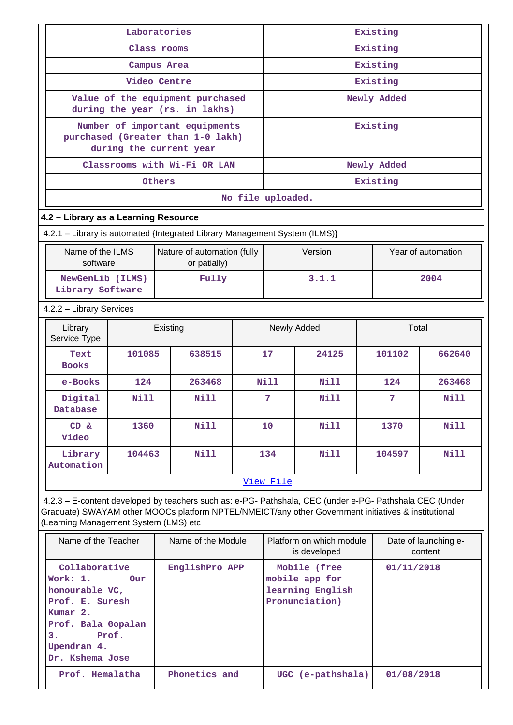|                                                                                                                                          | Laboratories            |        |                                                                    |       | Existing          |                                                                                                                                                                                                                |             |                                 |  |  |
|------------------------------------------------------------------------------------------------------------------------------------------|-------------------------|--------|--------------------------------------------------------------------|-------|-------------------|----------------------------------------------------------------------------------------------------------------------------------------------------------------------------------------------------------------|-------------|---------------------------------|--|--|
|                                                                                                                                          | Class rooms             |        |                                                                    |       | Existing          |                                                                                                                                                                                                                |             |                                 |  |  |
|                                                                                                                                          | Campus Area             |        |                                                                    |       | Existing          |                                                                                                                                                                                                                |             |                                 |  |  |
|                                                                                                                                          | Video Centre            |        |                                                                    |       | Existing          |                                                                                                                                                                                                                |             |                                 |  |  |
|                                                                                                                                          |                         |        | Value of the equipment purchased<br>during the year (rs. in lakhs) |       |                   |                                                                                                                                                                                                                | Newly Added |                                 |  |  |
|                                                                                                                                          |                         |        | Number of important equipments                                     |       |                   |                                                                                                                                                                                                                | Existing    |                                 |  |  |
|                                                                                                                                          | during the current year |        | purchased (Greater than 1-0 lakh)                                  |       |                   |                                                                                                                                                                                                                |             |                                 |  |  |
|                                                                                                                                          |                         |        | Classrooms with Wi-Fi OR LAN                                       |       |                   |                                                                                                                                                                                                                | Newly Added |                                 |  |  |
|                                                                                                                                          |                         | Others |                                                                    |       |                   |                                                                                                                                                                                                                | Existing    |                                 |  |  |
|                                                                                                                                          |                         |        |                                                                    |       | No file uploaded. |                                                                                                                                                                                                                |             |                                 |  |  |
| 4.2 - Library as a Learning Resource                                                                                                     |                         |        |                                                                    |       |                   |                                                                                                                                                                                                                |             |                                 |  |  |
| 4.2.1 - Library is automated {Integrated Library Management System (ILMS)}                                                               |                         |        |                                                                    |       |                   |                                                                                                                                                                                                                |             |                                 |  |  |
| Name of the ILMS<br>software                                                                                                             |                         |        | Nature of automation (fully<br>or patially)                        |       |                   | Version                                                                                                                                                                                                        |             | Year of automation              |  |  |
| NewGenLib (ILMS)<br>Library Software                                                                                                     |                         |        | Fully                                                              | 3.1.1 |                   |                                                                                                                                                                                                                |             | 2004                            |  |  |
| 4.2.2 - Library Services                                                                                                                 |                         |        |                                                                    |       |                   |                                                                                                                                                                                                                |             |                                 |  |  |
| Library<br>Service Type                                                                                                                  | Existing                |        |                                                                    |       |                   | Newly Added                                                                                                                                                                                                    | Total       |                                 |  |  |
| Text<br><b>Books</b>                                                                                                                     | 101085                  |        | 638515                                                             |       | $17 \,$           | 24125                                                                                                                                                                                                          | 101102      | 662640                          |  |  |
| e-Books                                                                                                                                  | 124                     |        | 263468                                                             |       | Nill              | <b>Nill</b>                                                                                                                                                                                                    | 124         | 263468                          |  |  |
| Digital<br>Database                                                                                                                      | Nill                    |        | Nill                                                               |       | 7                 | Nill                                                                                                                                                                                                           | 7           | Nill                            |  |  |
| $CD \&$<br>Video                                                                                                                         | 1360                    |        | <b>Nill</b>                                                        |       | 10                | Nill                                                                                                                                                                                                           | 1370        | Nill                            |  |  |
| Library<br>Automation                                                                                                                    | 104463                  |        | <b>Nill</b>                                                        |       | 134<br>Nill       |                                                                                                                                                                                                                | 104597      | Nill                            |  |  |
|                                                                                                                                          |                         |        |                                                                    |       | View File         |                                                                                                                                                                                                                |             |                                 |  |  |
| (Learning Management System (LMS) etc                                                                                                    |                         |        |                                                                    |       |                   | 4.2.3 - E-content developed by teachers such as: e-PG- Pathshala, CEC (under e-PG- Pathshala CEC (Under<br>Graduate) SWAYAM other MOOCs platform NPTEL/NMEICT/any other Government initiatives & institutional |             |                                 |  |  |
| Name of the Teacher                                                                                                                      |                         |        | Name of the Module                                                 |       |                   | Platform on which module<br>is developed                                                                                                                                                                       |             | Date of launching e-<br>content |  |  |
| Collaborative<br>Work: 1.<br>honourable VC,<br>Prof. E. Suresh<br>Kumar 2.<br>Prof. Bala Gopalan<br>з.<br>Upendran 4.<br>Dr. Kshema Jose | <b>Our</b><br>Prof.     |        | EnglishPro APP                                                     |       |                   | Mobile (free<br>mobile app for<br>learning English<br>Pronunciation)                                                                                                                                           | 01/11/2018  |                                 |  |  |
| Prof. Hemalatha                                                                                                                          |                         |        | Phonetics and                                                      |       |                   | UGC (e-pathshala)                                                                                                                                                                                              | 01/08/2018  |                                 |  |  |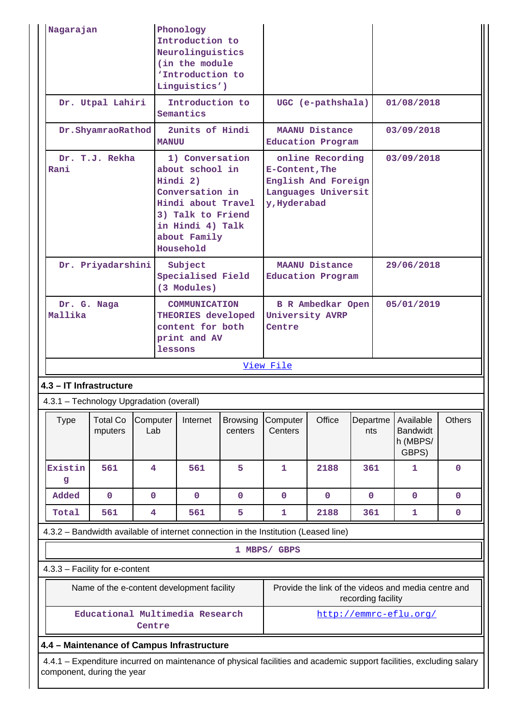| Nagarajan                                                                                                                                          |                                            |                         |                              | Phonology<br>Introduction to<br>Neurolinguistics<br>(in the module<br>'Introduction to<br>Linguistics')                                                       |                            |                                                   |                                                                                                  |                    |            |                                                     |               |
|----------------------------------------------------------------------------------------------------------------------------------------------------|--------------------------------------------|-------------------------|------------------------------|---------------------------------------------------------------------------------------------------------------------------------------------------------------|----------------------------|---------------------------------------------------|--------------------------------------------------------------------------------------------------|--------------------|------------|-----------------------------------------------------|---------------|
|                                                                                                                                                    | Dr. Utpal Lahiri                           |                         | Introduction to<br>Semantics |                                                                                                                                                               |                            |                                                   | UGC (e-pathshala)                                                                                |                    | 01/08/2018 |                                                     |               |
|                                                                                                                                                    | Dr.ShyamraoRathod                          |                         | <b>MANUU</b>                 | 2units of Hindi                                                                                                                                               |                            | Education Program                                 | MAANU Distance                                                                                   |                    |            | 03/09/2018                                          |               |
| Rani                                                                                                                                               | Dr. T.J. Rekha<br>Dr. Priyadarshini        |                         |                              | 1) Conversation<br>about school in<br>Hindi 2)<br>Conversation in<br>Hindi about Travel<br>3) Talk to Friend<br>in Hindi 4) Talk<br>about Family<br>Household |                            |                                                   | online Recording<br>E-Content, The<br>English And Foreign<br>Languages Universit<br>y, Hyderabad |                    |            |                                                     | 03/09/2018    |
|                                                                                                                                                    |                                            |                         |                              | Subject<br>Specialised Field<br>(3 Modules)                                                                                                                   |                            | <b>MAANU Distance</b><br><b>Education Program</b> |                                                                                                  |                    | 29/06/2018 |                                                     |               |
| Mallika                                                                                                                                            | Dr. G. Naga                                |                         |                              | <b>COMMUNICATION</b><br>THEORIES developed<br>content for both<br>print and AV<br>lessons                                                                     |                            | University AVRP<br>Centre                         | <b>B R Ambedkar Open</b>                                                                         |                    |            | 05/01/2019                                          |               |
|                                                                                                                                                    |                                            |                         |                              |                                                                                                                                                               |                            | View File                                         |                                                                                                  |                    |            |                                                     |               |
| 4.3 - IT Infrastructure                                                                                                                            |                                            |                         |                              |                                                                                                                                                               |                            |                                                   |                                                                                                  |                    |            |                                                     |               |
| 4.3.1 - Technology Upgradation (overall)                                                                                                           |                                            |                         |                              |                                                                                                                                                               |                            |                                                   |                                                                                                  |                    |            |                                                     |               |
| <b>Type</b>                                                                                                                                        | <b>Total Co</b><br>mputers                 | Computer<br>Lab         | Internet                     |                                                                                                                                                               | <b>Browsing</b><br>centers | Computer<br>Centers                               | Office                                                                                           | Departme<br>nts    |            | Available<br><b>Bandwidt</b><br>h (MBPS/<br>GBPS)   | <b>Others</b> |
| Existin<br>g                                                                                                                                       | 561                                        | $\overline{\mathbf{4}}$ |                              | 561                                                                                                                                                           | 5                          | 1                                                 | 2188                                                                                             | 361                |            | $\mathbf{1}$                                        | $\mathbf 0$   |
| Added                                                                                                                                              | $\mathbf 0$                                | $\mathbf 0$             |                              | $\mathbf 0$                                                                                                                                                   | $\mathbf 0$                | $\mathbf 0$                                       | $\mathbf 0$                                                                                      | $\mathbf 0$        |            | $\mathbf 0$                                         | $\mathbf 0$   |
| Total                                                                                                                                              | 561                                        | $\overline{\mathbf{4}}$ |                              | 561                                                                                                                                                           | 5                          | 1                                                 | 2188                                                                                             | 361                |            | 1                                                   | $\mathbf 0$   |
| 4.3.2 - Bandwidth available of internet connection in the Institution (Leased line)                                                                |                                            |                         |                              |                                                                                                                                                               |                            |                                                   |                                                                                                  |                    |            |                                                     |               |
|                                                                                                                                                    | 1 MBPS/ GBPS                               |                         |                              |                                                                                                                                                               |                            |                                                   |                                                                                                  |                    |            |                                                     |               |
| 4.3.3 - Facility for e-content                                                                                                                     |                                            |                         |                              |                                                                                                                                                               |                            |                                                   |                                                                                                  |                    |            |                                                     |               |
|                                                                                                                                                    | Name of the e-content development facility |                         |                              |                                                                                                                                                               |                            |                                                   |                                                                                                  | recording facility |            | Provide the link of the videos and media centre and |               |
| Educational Multimedia Research<br>http://emmrc-eflu.org/<br>Centre                                                                                |                                            |                         |                              |                                                                                                                                                               |                            |                                                   |                                                                                                  |                    |            |                                                     |               |
| 4.4 - Maintenance of Campus Infrastructure                                                                                                         |                                            |                         |                              |                                                                                                                                                               |                            |                                                   |                                                                                                  |                    |            |                                                     |               |
| 4.4.1 - Expenditure incurred on maintenance of physical facilities and academic support facilities, excluding salary<br>component, during the year |                                            |                         |                              |                                                                                                                                                               |                            |                                                   |                                                                                                  |                    |            |                                                     |               |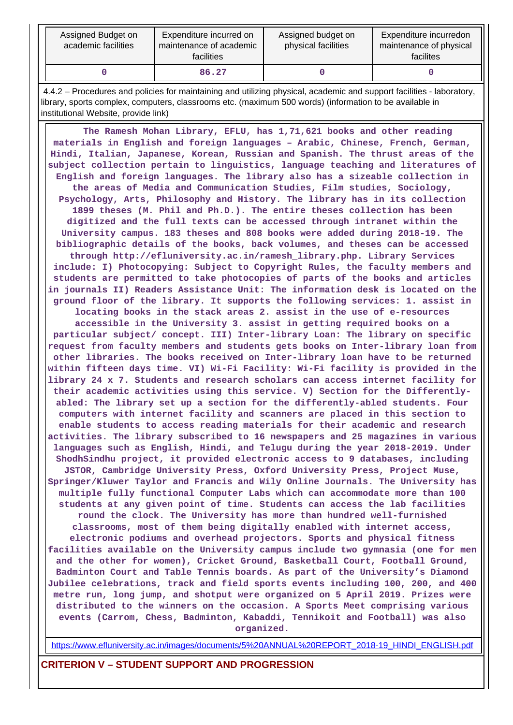| Assigned Budget on<br>academic facilities | Expenditure incurred on<br>maintenance of academic<br><b>facilities</b> | Assigned budget on<br>physical facilities | Expenditure incurredon<br>maintenance of physical<br>facilites |
|-------------------------------------------|-------------------------------------------------------------------------|-------------------------------------------|----------------------------------------------------------------|
|                                           | 86.27                                                                   |                                           |                                                                |

 4.4.2 – Procedures and policies for maintaining and utilizing physical, academic and support facilities - laboratory, library, sports complex, computers, classrooms etc. (maximum 500 words) (information to be available in institutional Website, provide link)

 **The Ramesh Mohan Library, EFLU, has 1,71,621 books and other reading materials in English and foreign languages – Arabic, Chinese, French, German, Hindi, Italian, Japanese, Korean, Russian and Spanish. The thrust areas of the subject collection pertain to linguistics, language teaching and literatures of English and foreign languages. The library also has a sizeable collection in the areas of Media and Communication Studies, Film studies, Sociology, Psychology, Arts, Philosophy and History. The library has in its collection 1899 theses (M. Phil and Ph.D.). The entire theses collection has been digitized and the full texts can be accessed through intranet within the University campus. 183 theses and 808 books were added during 2018-19. The bibliographic details of the books, back volumes, and theses can be accessed through http://efluniversity.ac.in/ramesh\_library.php. Library Services include: I) Photocopying: Subject to Copyright Rules, the faculty members and students are permitted to take photocopies of parts of the books and articles in journals II) Readers Assistance Unit: The information desk is located on the ground floor of the library. It supports the following services: 1. assist in locating books in the stack areas 2. assist in the use of e-resources accessible in the University 3. assist in getting required books on a particular subject/ concept. III) Inter-library Loan: The library on specific request from faculty members and students gets books on Inter-library loan from other libraries. The books received on Inter-library loan have to be returned within fifteen days time. VI) Wi-Fi Facility: Wi-Fi facility is provided in the library 24 x 7. Students and research scholars can access internet facility for their academic activities using this service. V) Section for the Differentlyabled: The library set up a section for the differently-abled students. Four computers with internet facility and scanners are placed in this section to enable students to access reading materials for their academic and research activities. The library subscribed to 16 newspapers and 25 magazines in various languages such as English, Hindi, and Telugu during the year 2018-2019. Under ShodhSindhu project, it provided electronic access to 9 databases, including JSTOR, Cambridge University Press, Oxford University Press, Project Muse, Springer/Kluwer Taylor and Francis and Wily Online Journals. The University has multiple fully functional Computer Labs which can accommodate more than 100 students at any given point of time. Students can access the lab facilities round the clock. The University has more than hundred well-furnished classrooms, most of them being digitally enabled with internet access, electronic podiums and overhead projectors. Sports and physical fitness facilities available on the University campus include two gymnasia (one for men and the other for women), Cricket Ground, Basketball Court, Football Ground, Badminton Court and Table Tennis boards. As part of the University's Diamond Jubilee celebrations, track and field sports events including 100, 200, and 400 metre run, long jump, and shotput were organized on 5 April 2019. Prizes were distributed to the winners on the occasion. A Sports Meet comprising various events (Carrom, Chess, Badminton, Kabaddi, Tennikoit and Football) was also organized.**

[https://www.efluniversity.ac.in/images/documents/5%20ANNUAL%20REPORT\\_2018-19\\_HINDI\\_ENGLISH.pdf](https://www.efluniversity.ac.in/images/documents/5%20ANNUAL%20REPORT_2018-19_HINDI_ENGLISH.pdf)

**CRITERION V – STUDENT SUPPORT AND PROGRESSION**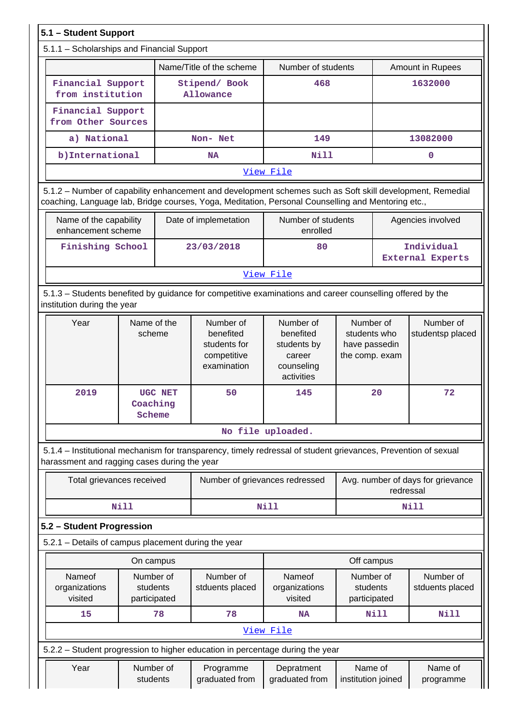| 5.1 - Student Support                                                                                                                                                                                           |                       |         |                                                                      |                                                                             |                                                              |           |                                       |  |  |
|-----------------------------------------------------------------------------------------------------------------------------------------------------------------------------------------------------------------|-----------------------|---------|----------------------------------------------------------------------|-----------------------------------------------------------------------------|--------------------------------------------------------------|-----------|---------------------------------------|--|--|
| 5.1.1 - Scholarships and Financial Support                                                                                                                                                                      |                       |         |                                                                      |                                                                             |                                                              |           |                                       |  |  |
|                                                                                                                                                                                                                 |                       |         | Name/Title of the scheme                                             | Number of students                                                          |                                                              |           | Amount in Rupees                      |  |  |
| Financial Support<br>from institution                                                                                                                                                                           |                       |         | Stipend/ Book<br><b>Allowance</b>                                    | 468                                                                         |                                                              |           | 1632000                               |  |  |
| Financial Support<br>from Other Sources                                                                                                                                                                         |                       |         |                                                                      |                                                                             |                                                              |           |                                       |  |  |
| a) National                                                                                                                                                                                                     |                       |         | Non- Net                                                             | 149                                                                         |                                                              |           | 13082000                              |  |  |
| b) International                                                                                                                                                                                                |                       |         | NA                                                                   | Nill                                                                        |                                                              |           | 0                                     |  |  |
|                                                                                                                                                                                                                 |                       |         |                                                                      | View File                                                                   |                                                              |           |                                       |  |  |
| 5.1.2 - Number of capability enhancement and development schemes such as Soft skill development, Remedial<br>coaching, Language lab, Bridge courses, Yoga, Meditation, Personal Counselling and Mentoring etc., |                       |         |                                                                      |                                                                             |                                                              |           |                                       |  |  |
| Name of the capability<br>enhancement scheme                                                                                                                                                                    |                       |         | Date of implemetation                                                | Number of students<br>enrolled                                              |                                                              |           | Agencies involved                     |  |  |
| Finishing School                                                                                                                                                                                                |                       |         | 23/03/2018                                                           | 80                                                                          |                                                              |           | Individual<br><b>External Experts</b> |  |  |
|                                                                                                                                                                                                                 |                       |         |                                                                      | View File                                                                   |                                                              |           |                                       |  |  |
| 5.1.3 - Students benefited by guidance for competitive examinations and career counselling offered by the<br>institution during the year                                                                        |                       |         |                                                                      |                                                                             |                                                              |           |                                       |  |  |
| Year                                                                                                                                                                                                            | Name of the<br>scheme |         | Number of<br>benefited<br>students for<br>competitive<br>examination | Number of<br>benefited<br>students by<br>career<br>counseling<br>activities | Number of<br>students who<br>have passedin<br>the comp. exam |           | Number of<br>studentsp placed         |  |  |
| 2019                                                                                                                                                                                                            | Coaching<br>Scheme    | UGC NET | 50                                                                   | 145                                                                         |                                                              | 20        | 72                                    |  |  |
|                                                                                                                                                                                                                 |                       |         |                                                                      | No file uploaded.                                                           |                                                              |           |                                       |  |  |
| 5.1.4 – Institutional mechanism for transparency, timely redressal of student grievances, Prevention of sexual<br>harassment and ragging cases during the year                                                  |                       |         |                                                                      |                                                                             |                                                              |           |                                       |  |  |
| Total grievances received                                                                                                                                                                                       |                       |         | Number of grievances redressed                                       |                                                                             |                                                              | redressal | Avg. number of days for grievance     |  |  |
|                                                                                                                                                                                                                 | <b>Nill</b>           |         |                                                                      | Nill                                                                        |                                                              |           | Nill                                  |  |  |
| 5.2 - Student Progression                                                                                                                                                                                       |                       |         |                                                                      |                                                                             |                                                              |           |                                       |  |  |
| 5.2.1 - Details of campus placement during the year                                                                                                                                                             |                       |         |                                                                      |                                                                             |                                                              |           |                                       |  |  |
|                                                                                                                                                                                                                 | On campus             |         |                                                                      |                                                                             | Off campus                                                   |           |                                       |  |  |
| Nameof<br>Number of<br>organizations<br>students<br>participated<br>visited                                                                                                                                     |                       |         | Number of<br>stduents placed                                         | Nameof<br>organizations<br>visited                                          | Number of<br>students<br>participated                        |           | Number of<br>stduents placed          |  |  |
| 15                                                                                                                                                                                                              |                       | 78      | 78                                                                   | <b>NA</b>                                                                   |                                                              | Nill      | Nill                                  |  |  |
|                                                                                                                                                                                                                 |                       |         |                                                                      | View File                                                                   |                                                              |           |                                       |  |  |
| 5.2.2 - Student progression to higher education in percentage during the year                                                                                                                                   |                       |         |                                                                      |                                                                             |                                                              |           |                                       |  |  |
| Year                                                                                                                                                                                                            | Number of<br>students |         | Programme<br>graduated from                                          | Depratment<br>graduated from                                                | Name of<br>institution joined                                |           | Name of<br>programme                  |  |  |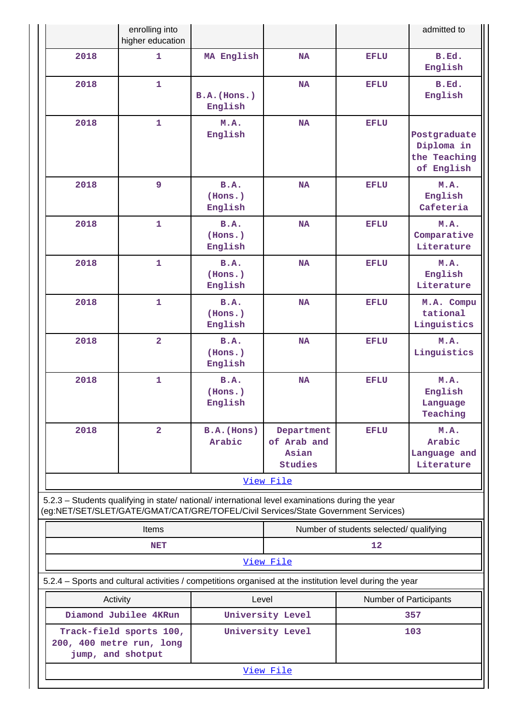|                                               | enrolling into<br>higher education                                                                                                                                                     |                            |                                               |                                         | admitted to                                              |
|-----------------------------------------------|----------------------------------------------------------------------------------------------------------------------------------------------------------------------------------------|----------------------------|-----------------------------------------------|-----------------------------------------|----------------------------------------------------------|
| 2018                                          | $\mathbf{1}$                                                                                                                                                                           | MA English                 | <b>NA</b>                                     | <b>EFLU</b>                             | B.Ed.<br>English                                         |
| 2018                                          | $\mathbf{1}$                                                                                                                                                                           | B.A.(Hons.)<br>English     | <b>NA</b>                                     | EFLU                                    | B.Ed.<br>English                                         |
| 2018                                          | $\mathbf{1}$                                                                                                                                                                           | M.A.<br>English            | <b>NA</b>                                     | <b>EFLU</b>                             | Postgraduate<br>Diploma in<br>the Teaching<br>of English |
| 2018                                          | 9                                                                                                                                                                                      | B.A.<br>(Hons.)<br>English | <b>NA</b>                                     | <b>EFLU</b>                             | M.A.<br>English<br>Cafeteria                             |
| 2018                                          | $\mathbf{1}$<br>$\mathbf{1}$<br>2018<br>2018<br>1                                                                                                                                      |                            | <b>NA</b>                                     | <b>EFLU</b>                             | M.A.<br>Comparative<br>Literature                        |
|                                               |                                                                                                                                                                                        |                            | <b>NA</b>                                     | <b>EFLU</b>                             | M.A.<br>English<br>Literature                            |
|                                               |                                                                                                                                                                                        |                            | B.A.<br><b>NA</b><br>(Hons.)<br>English       |                                         | M.A. Compu<br>tational<br>Linguistics                    |
| 2018                                          | $\overline{a}$                                                                                                                                                                         | B.A.<br>(Hons.)<br>English | <b>NA</b>                                     | <b>EFLU</b>                             | M.A.<br>Linguistics                                      |
| 2018                                          | 1                                                                                                                                                                                      | B.A.<br>(Hons.)<br>English | <b>NA</b>                                     | <b>EFLU</b>                             | M.A.<br>English<br>Language<br>Teaching                  |
| 2018                                          | $\overline{2}$                                                                                                                                                                         | $B.A.$ (Hons)<br>Arabic    | Department<br>of Arab and<br>Asian<br>Studies | <b>EFLU</b>                             | M.A.<br>Arabic<br>Language and<br>Literature             |
|                                               |                                                                                                                                                                                        |                            | View File                                     |                                         |                                                          |
|                                               | 5.2.3 - Students qualifying in state/ national/ international level examinations during the year<br>(eg:NET/SET/SLET/GATE/GMAT/CAT/GRE/TOFEL/Civil Services/State Government Services) |                            |                                               |                                         |                                                          |
|                                               | <b>Items</b>                                                                                                                                                                           |                            |                                               | Number of students selected/ qualifying |                                                          |
|                                               | <b>NET</b>                                                                                                                                                                             |                            |                                               | 12                                      |                                                          |
|                                               |                                                                                                                                                                                        |                            | View File                                     |                                         |                                                          |
|                                               | 5.2.4 – Sports and cultural activities / competitions organised at the institution level during the year                                                                               |                            |                                               |                                         |                                                          |
| Activity                                      |                                                                                                                                                                                        | Level                      |                                               | Number of Participants                  |                                                          |
|                                               | Diamond Jubilee 4KRun                                                                                                                                                                  |                            | University Level                              |                                         | 357                                                      |
| 200, 400 metre run, long<br>jump, and shotput | Track-field sports 100,                                                                                                                                                                |                            | University Level                              |                                         | 103                                                      |
|                                               |                                                                                                                                                                                        |                            | View File                                     |                                         |                                                          |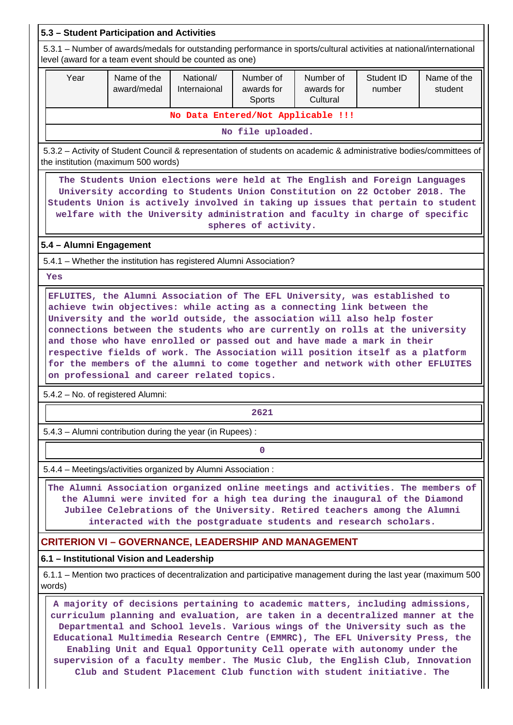| 5.3 - Student Participation and Activities                                                                                                                                                                                                                                                                                                            |                                                                                                                                                                                                                                                                                                                                                                                                                                                                                              |                                    |                                   |                                     |                      |                        |  |  |  |  |  |
|-------------------------------------------------------------------------------------------------------------------------------------------------------------------------------------------------------------------------------------------------------------------------------------------------------------------------------------------------------|----------------------------------------------------------------------------------------------------------------------------------------------------------------------------------------------------------------------------------------------------------------------------------------------------------------------------------------------------------------------------------------------------------------------------------------------------------------------------------------------|------------------------------------|-----------------------------------|-------------------------------------|----------------------|------------------------|--|--|--|--|--|
|                                                                                                                                                                                                                                                                                                                                                       | 5.3.1 – Number of awards/medals for outstanding performance in sports/cultural activities at national/international<br>level (award for a team event should be counted as one)                                                                                                                                                                                                                                                                                                               |                                    |                                   |                                     |                      |                        |  |  |  |  |  |
| Year                                                                                                                                                                                                                                                                                                                                                  | Name of the<br>award/medal                                                                                                                                                                                                                                                                                                                                                                                                                                                                   | National/<br>Internaional          | Number of<br>awards for<br>Sports | Number of<br>awards for<br>Cultural | Student ID<br>number | Name of the<br>student |  |  |  |  |  |
|                                                                                                                                                                                                                                                                                                                                                       |                                                                                                                                                                                                                                                                                                                                                                                                                                                                                              | No Data Entered/Not Applicable !!! |                                   |                                     |                      |                        |  |  |  |  |  |
| No file uploaded.                                                                                                                                                                                                                                                                                                                                     |                                                                                                                                                                                                                                                                                                                                                                                                                                                                                              |                                    |                                   |                                     |                      |                        |  |  |  |  |  |
|                                                                                                                                                                                                                                                                                                                                                       | 5.3.2 - Activity of Student Council & representation of students on academic & administrative bodies/committees of<br>the institution (maximum 500 words)                                                                                                                                                                                                                                                                                                                                    |                                    |                                   |                                     |                      |                        |  |  |  |  |  |
| The Students Union elections were held at The English and Foreign Languages<br>University according to Students Union Constitution on 22 October 2018. The<br>Students Union is actively involved in taking up issues that pertain to student<br>welfare with the University administration and faculty in charge of specific<br>spheres of activity. |                                                                                                                                                                                                                                                                                                                                                                                                                                                                                              |                                    |                                   |                                     |                      |                        |  |  |  |  |  |
| 5.4 - Alumni Engagement                                                                                                                                                                                                                                                                                                                               |                                                                                                                                                                                                                                                                                                                                                                                                                                                                                              |                                    |                                   |                                     |                      |                        |  |  |  |  |  |
|                                                                                                                                                                                                                                                                                                                                                       | 5.4.1 - Whether the institution has registered Alumni Association?                                                                                                                                                                                                                                                                                                                                                                                                                           |                                    |                                   |                                     |                      |                        |  |  |  |  |  |
| <b>Yes</b>                                                                                                                                                                                                                                                                                                                                            |                                                                                                                                                                                                                                                                                                                                                                                                                                                                                              |                                    |                                   |                                     |                      |                        |  |  |  |  |  |
| 5.4.2 - No. of registered Alumni:                                                                                                                                                                                                                                                                                                                     | University and the world outside, the association will also help foster<br>connections between the students who are currently on rolls at the university<br>and those who have enrolled or passed out and have made a mark in their<br>respective fields of work. The Association will position itself as a platform<br>for the members of the alumni to come together and network with other EFLUITES<br>on professional and career related topics.                                         |                                    |                                   |                                     |                      |                        |  |  |  |  |  |
|                                                                                                                                                                                                                                                                                                                                                       |                                                                                                                                                                                                                                                                                                                                                                                                                                                                                              |                                    | 2621                              |                                     |                      |                        |  |  |  |  |  |
|                                                                                                                                                                                                                                                                                                                                                       | 5.4.3 - Alumni contribution during the year (in Rupees):                                                                                                                                                                                                                                                                                                                                                                                                                                     |                                    |                                   |                                     |                      |                        |  |  |  |  |  |
|                                                                                                                                                                                                                                                                                                                                                       |                                                                                                                                                                                                                                                                                                                                                                                                                                                                                              |                                    | 0                                 |                                     |                      |                        |  |  |  |  |  |
|                                                                                                                                                                                                                                                                                                                                                       | 5.4.4 - Meetings/activities organized by Alumni Association :                                                                                                                                                                                                                                                                                                                                                                                                                                |                                    |                                   |                                     |                      |                        |  |  |  |  |  |
|                                                                                                                                                                                                                                                                                                                                                       | The Alumni Association organized online meetings and activities. The members of<br>the Alumni were invited for a high tea during the inaugural of the Diamond<br>Jubilee Celebrations of the University. Retired teachers among the Alumni<br>interacted with the postgraduate students and research scholars.                                                                                                                                                                               |                                    |                                   |                                     |                      |                        |  |  |  |  |  |
|                                                                                                                                                                                                                                                                                                                                                       | <b>CRITERION VI - GOVERNANCE, LEADERSHIP AND MANAGEMENT</b>                                                                                                                                                                                                                                                                                                                                                                                                                                  |                                    |                                   |                                     |                      |                        |  |  |  |  |  |
|                                                                                                                                                                                                                                                                                                                                                       | 6.1 - Institutional Vision and Leadership                                                                                                                                                                                                                                                                                                                                                                                                                                                    |                                    |                                   |                                     |                      |                        |  |  |  |  |  |
| words)                                                                                                                                                                                                                                                                                                                                                | 6.1.1 – Mention two practices of decentralization and participative management during the last year (maximum 500                                                                                                                                                                                                                                                                                                                                                                             |                                    |                                   |                                     |                      |                        |  |  |  |  |  |
|                                                                                                                                                                                                                                                                                                                                                       | A majority of decisions pertaining to academic matters, including admissions,<br>curriculum planning and evaluation, are taken in a decentralized manner at the<br>Departmental and School levels. Various wings of the University such as the<br>Educational Multimedia Research Centre (EMMRC), The EFL University Press, the<br>Enabling Unit and Equal Opportunity Cell operate with autonomy under the<br>supervision of a faculty member. The Music Club, the English Club, Innovation |                                    |                                   |                                     |                      |                        |  |  |  |  |  |

**Club and Student Placement Club function with student initiative. The**

 $\parallel$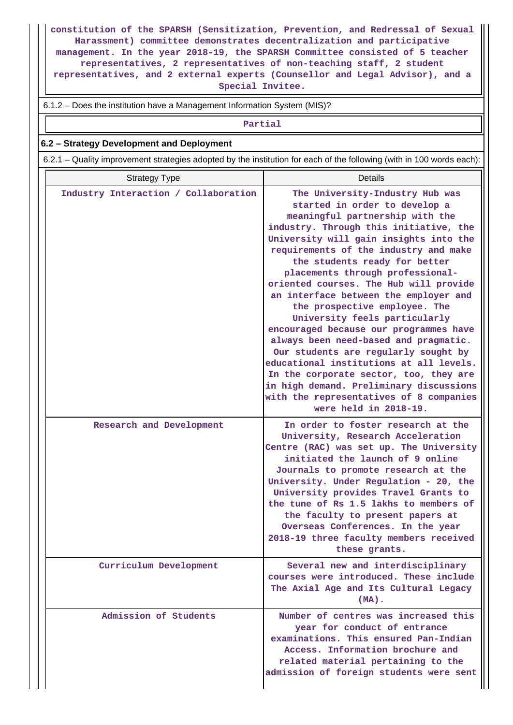**constitution of the SPARSH (Sensitization, Prevention, and Redressal of Sexual Harassment) committee demonstrates decentralization and participative management. In the year 2018-19, the SPARSH Committee consisted of 5 teacher representatives, 2 representatives of non-teaching staff, 2 student representatives, and 2 external experts (Counsellor and Legal Advisor), and a Special Invitee.**

6.1.2 – Does the institution have a Management Information System (MIS)?

**Partial**

#### **6.2 – Strategy Development and Deployment**

6.2.1 – Quality improvement strategies adopted by the institution for each of the following (with in 100 words each):

| <b>Strategy Type</b>                 | Details                                                                                                                                                                                                                                                                                                                                                                                                                                                                                                                                                                                                                                                                                                                                                                                   |  |  |  |
|--------------------------------------|-------------------------------------------------------------------------------------------------------------------------------------------------------------------------------------------------------------------------------------------------------------------------------------------------------------------------------------------------------------------------------------------------------------------------------------------------------------------------------------------------------------------------------------------------------------------------------------------------------------------------------------------------------------------------------------------------------------------------------------------------------------------------------------------|--|--|--|
| Industry Interaction / Collaboration | The University-Industry Hub was<br>started in order to develop a<br>meaningful partnership with the<br>industry. Through this initiative, the<br>University will gain insights into the<br>requirements of the industry and make<br>the students ready for better<br>placements through professional-<br>oriented courses. The Hub will provide<br>an interface between the employer and<br>the prospective employee. The<br>University feels particularly<br>encouraged because our programmes have<br>always been need-based and pragmatic.<br>Our students are regularly sought by<br>educational institutions at all levels.<br>In the corporate sector, too, they are<br>in high demand. Preliminary discussions<br>with the representatives of 8 companies<br>were held in 2018-19. |  |  |  |
| Research and Development             | In order to foster research at the<br>University, Research Acceleration<br>Centre (RAC) was set up. The University<br>initiated the launch of 9 online<br>Journals to promote research at the<br>University. Under Regulation - 20, the<br>University provides Travel Grants to<br>the tune of Rs 1.5 lakhs to members of<br>the faculty to present papers at<br>Overseas Conferences. In the year<br>2018-19 three faculty members received<br>these grants.                                                                                                                                                                                                                                                                                                                             |  |  |  |
| Curriculum Development               | Several new and interdisciplinary<br>courses were introduced. These include<br>The Axial Age and Its Cultural Legacy<br>$(MA)$ .                                                                                                                                                                                                                                                                                                                                                                                                                                                                                                                                                                                                                                                          |  |  |  |
| Admission of Students                | Number of centres was increased this<br>year for conduct of entrance<br>examinations. This ensured Pan-Indian<br>Access. Information brochure and<br>related material pertaining to the<br>admission of foreign students were sent                                                                                                                                                                                                                                                                                                                                                                                                                                                                                                                                                        |  |  |  |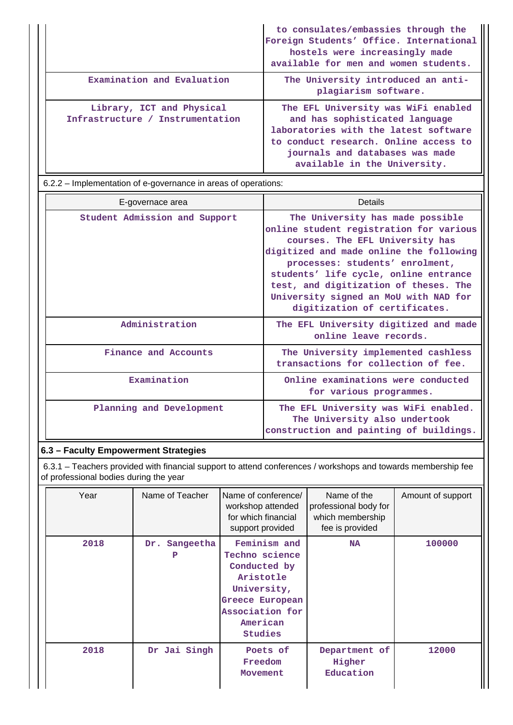|                                                               | to consulates/embassies through the<br>Foreign Students' Office. International<br>hostels were increasingly made<br>available for men and women students.                                                                  |
|---------------------------------------------------------------|----------------------------------------------------------------------------------------------------------------------------------------------------------------------------------------------------------------------------|
| Examination and Evaluation                                    | The University introduced an anti-<br>plagiarism software.                                                                                                                                                                 |
| Library, ICT and Physical<br>Infrastructure / Instrumentation | The EFL University was WiFi enabled<br>and has sophisticated language<br>laboratories with the latest software<br>to conduct research. Online access to<br>journals and databases was made<br>available in the University. |

6.2.2 – Implementation of e-governance in areas of operations:

| E-governace area              | Details                                                                                                                                                                                                                                                                                                                                                  |  |  |
|-------------------------------|----------------------------------------------------------------------------------------------------------------------------------------------------------------------------------------------------------------------------------------------------------------------------------------------------------------------------------------------------------|--|--|
| Student Admission and Support | The University has made possible<br>online student registration for various<br>courses. The EFL University has<br>digitized and made online the following<br>processes: students' enrolment,<br>students' life cycle, online entrance<br>test, and digitization of theses. The<br>University signed an MoU with NAD for<br>digitization of certificates. |  |  |
| Administration                | The EFL University digitized and made<br>online leave records.                                                                                                                                                                                                                                                                                           |  |  |
| Finance and Accounts          | The University implemented cashless<br>transactions for collection of fee.                                                                                                                                                                                                                                                                               |  |  |
| Examination                   | Online examinations were conducted<br>for various programmes.                                                                                                                                                                                                                                                                                            |  |  |
| Planning and Development      | The EFL University was WiFi enabled.<br>The University also undertook<br>construction and painting of buildings.                                                                                                                                                                                                                                         |  |  |

# **6.3 – Faculty Empowerment Strategies**

 6.3.1 – Teachers provided with financial support to attend conferences / workshops and towards membership fee of professional bodies during the year

| Year | Name of Teacher       | Name of conference/<br>workshop attended<br>for which financial<br>support provided                                                     | Name of the<br>professional body for<br>which membership<br>fee is provided | Amount of support |
|------|-----------------------|-----------------------------------------------------------------------------------------------------------------------------------------|-----------------------------------------------------------------------------|-------------------|
| 2018 | Sangeetha<br>Dr.<br>P | Feminism and<br>Techno science<br>Conducted by<br>Aristotle<br>University,<br>Greece European<br>Association for<br>American<br>Studies | <b>NA</b>                                                                   | 100000            |
| 2018 | Dr Jai Singh          | Poets of<br>Freedom<br>Movement                                                                                                         | Department of<br>Higher<br>Education                                        | 12000             |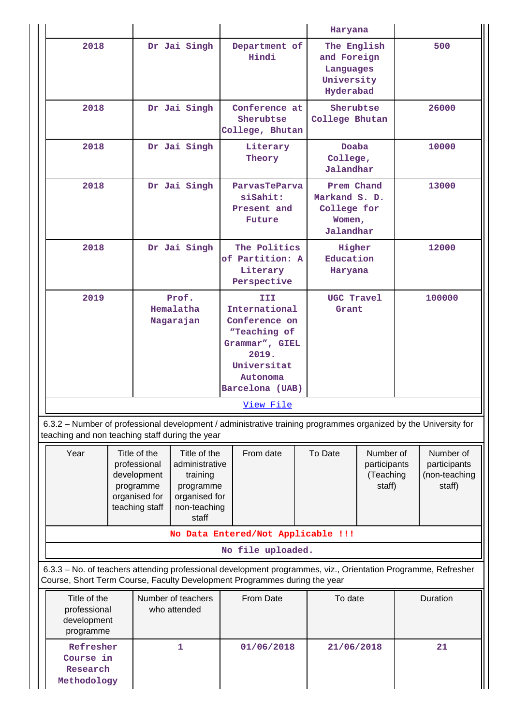|                                                          |                                                                                                                                                                                                               |  |                                    |                                                                                                                                                                                            |                                                                    | Haryana                                                           |     |          |
|----------------------------------------------------------|---------------------------------------------------------------------------------------------------------------------------------------------------------------------------------------------------------------|--|------------------------------------|--------------------------------------------------------------------------------------------------------------------------------------------------------------------------------------------|--------------------------------------------------------------------|-------------------------------------------------------------------|-----|----------|
| 2018                                                     | Dr Jai Singh                                                                                                                                                                                                  |  | Department of<br>Hindi             |                                                                                                                                                                                            | The English<br>and Foreign<br>Languages<br>University<br>Hyderabad |                                                                   | 500 |          |
| 2018                                                     |                                                                                                                                                                                                               |  | Dr Jai Singh                       | Conference at<br>Sherubtse<br>College, Bhutan                                                                                                                                              |                                                                    | Sherubtse<br>College Bhutan                                       |     | 26000    |
| 2018                                                     |                                                                                                                                                                                                               |  | Dr Jai Singh                       | Literary<br>Theory                                                                                                                                                                         |                                                                    | Doaba<br>College,<br>Jalandhar                                    |     | 10000    |
| 2018                                                     |                                                                                                                                                                                                               |  | Dr Jai Singh                       | ParvasTeParva<br>siSahit:<br>Present and<br>Future                                                                                                                                         |                                                                    | Prem Chand<br>Markand S. D.<br>College for<br>Women,<br>Jalandhar |     | 13000    |
| 2018                                                     |                                                                                                                                                                                                               |  | Dr Jai Singh                       | The Politics<br>of Partition: A<br>Literary<br>Perspective                                                                                                                                 | Higher<br>Education<br>Haryana                                     |                                                                   |     | 12000    |
| 2019                                                     |                                                                                                                                                                                                               |  | Prof.<br>Hemalatha<br>Nagarajan    | III<br>International<br>Conference on<br>"Teaching of<br>Grammar", GIEL<br>2019.<br>Universitat<br>Autonoma<br>Barcelona (UAB)                                                             | UGC Travel<br>Grant                                                |                                                                   |     | 100000   |
|                                                          |                                                                                                                                                                                                               |  |                                    | View File                                                                                                                                                                                  |                                                                    |                                                                   |     |          |
| teaching and non teaching staff during the year          |                                                                                                                                                                                                               |  |                                    | 6.3.2 – Number of professional development / administrative training programmes organized by the University for                                                                            |                                                                    |                                                                   |     |          |
| Year                                                     | Title of the<br>Title of the<br>From date<br>professional<br>administrative<br>development<br>training<br>programme<br>programme<br>organised for<br>organised for<br>teaching staff<br>non-teaching<br>staff |  | To Date                            | Number of<br>participants<br>(Teaching<br>staff)                                                                                                                                           |                                                                    | Number of<br>participants<br>(non-teaching<br>staff)              |     |          |
|                                                          |                                                                                                                                                                                                               |  |                                    | No Data Entered/Not Applicable !!!                                                                                                                                                         |                                                                    |                                                                   |     |          |
|                                                          |                                                                                                                                                                                                               |  |                                    | No file uploaded.                                                                                                                                                                          |                                                                    |                                                                   |     |          |
|                                                          |                                                                                                                                                                                                               |  |                                    | 6.3.3 - No. of teachers attending professional development programmes, viz., Orientation Programme, Refresher<br>Course, Short Term Course, Faculty Development Programmes during the year |                                                                    |                                                                   |     |          |
| Title of the<br>professional<br>development<br>programme |                                                                                                                                                                                                               |  | Number of teachers<br>who attended | <b>From Date</b>                                                                                                                                                                           |                                                                    | To date                                                           |     | Duration |
| Refresher<br>Course in<br>Research<br>Methodology        |                                                                                                                                                                                                               |  | 1                                  | 01/06/2018                                                                                                                                                                                 |                                                                    | 21/06/2018                                                        |     | 21       |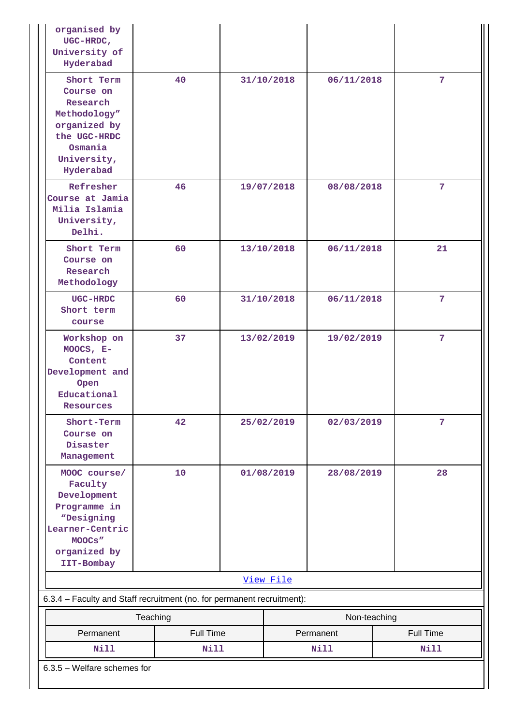| organised by<br>UGC-HRDC,<br>University of<br>Hyderabad                                                                         |             |            |              |                  |
|---------------------------------------------------------------------------------------------------------------------------------|-------------|------------|--------------|------------------|
| Short Term<br>Course on<br>Research<br>Methodology"<br>organized by<br>the UGC-HRDC<br>Osmania<br>University,<br>Hyderabad      | 40          | 31/10/2018 | 06/11/2018   | $7\phantom{.}$   |
| Refresher<br>Course at Jamia<br>Milia Islamia<br>University,<br>Delhi.                                                          | 46          | 19/07/2018 | 08/08/2018   | 7 <sup>1</sup>   |
| Short Term<br>Course on<br>Research<br>Methodology                                                                              | 60          | 13/10/2018 | 06/11/2018   | 21               |
| UGC-HRDC<br>Short term<br>course                                                                                                | 60          | 31/10/2018 | 06/11/2018   | 7                |
| Workshop on<br>MOOCS, $E-$<br>Content<br>Development and<br>Open<br>Educational<br>Resources                                    | 37          | 13/02/2019 | 19/02/2019   | 7                |
| Short-Term<br>Course on<br>Disaster<br>Management                                                                               | 42          | 25/02/2019 | 02/03/2019   | $\overline{7}$   |
| MOOC course/<br>Faculty<br>Development<br>Programme in<br>"Designing<br>Learner-Centric<br>MOOCS"<br>organized by<br>IIT-Bombay | 10          | 01/08/2019 | 28/08/2019   | 28               |
|                                                                                                                                 |             | View File  |              |                  |
| 6.3.4 - Faculty and Staff recruitment (no. for permanent recruitment):                                                          |             |            |              |                  |
|                                                                                                                                 | Teaching    |            | Non-teaching |                  |
| Permanent                                                                                                                       | Full Time   |            | Permanent    | <b>Full Time</b> |
| <b>Nill</b>                                                                                                                     | <b>Nill</b> |            | Nill         | <b>Nill</b>      |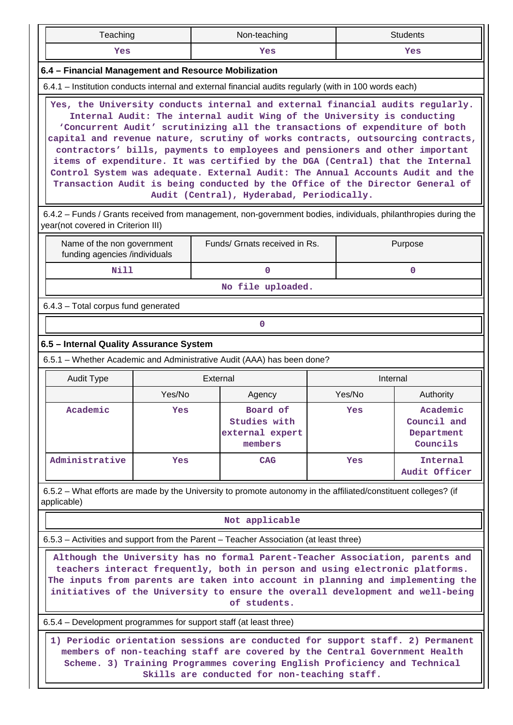|                                                                                                         | Teaching                                                                                               |        |          | Non-teaching                                                                                                                                                                                                                                                                                                                                                                                                                                                                                                                                                                                                                                                                                                 |  |          | <b>Students</b>                                   |  |
|---------------------------------------------------------------------------------------------------------|--------------------------------------------------------------------------------------------------------|--------|----------|--------------------------------------------------------------------------------------------------------------------------------------------------------------------------------------------------------------------------------------------------------------------------------------------------------------------------------------------------------------------------------------------------------------------------------------------------------------------------------------------------------------------------------------------------------------------------------------------------------------------------------------------------------------------------------------------------------------|--|----------|---------------------------------------------------|--|
|                                                                                                         | Yes                                                                                                    |        |          | Yes                                                                                                                                                                                                                                                                                                                                                                                                                                                                                                                                                                                                                                                                                                          |  | Yes      |                                                   |  |
|                                                                                                         | 6.4 - Financial Management and Resource Mobilization                                                   |        |          |                                                                                                                                                                                                                                                                                                                                                                                                                                                                                                                                                                                                                                                                                                              |  |          |                                                   |  |
|                                                                                                         | 6.4.1 – Institution conducts internal and external financial audits regularly (with in 100 words each) |        |          |                                                                                                                                                                                                                                                                                                                                                                                                                                                                                                                                                                                                                                                                                                              |  |          |                                                   |  |
|                                                                                                         |                                                                                                        |        |          | Yes, the University conducts internal and external financial audits regularly.<br>Internal Audit: The internal audit Wing of the University is conducting<br>'Concurrent Audit' scrutinizing all the transactions of expenditure of both<br>capital and revenue nature, scrutiny of works contracts, outsourcing contracts,<br>contractors' bills, payments to employees and pensioners and other important<br>items of expenditure. It was certified by the DGA (Central) that the Internal<br>Control System was adequate. External Audit: The Annual Accounts Audit and the<br>Transaction Audit is being conducted by the Office of the Director General of<br>Audit (Central), Hyderabad, Periodically. |  |          |                                                   |  |
|                                                                                                         | year(not covered in Criterion III)                                                                     |        |          | 6.4.2 – Funds / Grants received from management, non-government bodies, individuals, philanthropies during the                                                                                                                                                                                                                                                                                                                                                                                                                                                                                                                                                                                               |  |          |                                                   |  |
| Funds/ Grnats received in Rs.<br>Purpose<br>Name of the non government<br>funding agencies /individuals |                                                                                                        |        |          |                                                                                                                                                                                                                                                                                                                                                                                                                                                                                                                                                                                                                                                                                                              |  |          |                                                   |  |
|                                                                                                         | <b>Nill</b>                                                                                            |        |          | 0                                                                                                                                                                                                                                                                                                                                                                                                                                                                                                                                                                                                                                                                                                            |  |          | $\mathbf 0$                                       |  |
|                                                                                                         |                                                                                                        |        |          | No file uploaded.                                                                                                                                                                                                                                                                                                                                                                                                                                                                                                                                                                                                                                                                                            |  |          |                                                   |  |
|                                                                                                         | 6.4.3 - Total corpus fund generated                                                                    |        |          |                                                                                                                                                                                                                                                                                                                                                                                                                                                                                                                                                                                                                                                                                                              |  |          |                                                   |  |
|                                                                                                         |                                                                                                        |        |          | 0                                                                                                                                                                                                                                                                                                                                                                                                                                                                                                                                                                                                                                                                                                            |  |          |                                                   |  |
|                                                                                                         | 6.5 - Internal Quality Assurance System                                                                |        |          |                                                                                                                                                                                                                                                                                                                                                                                                                                                                                                                                                                                                                                                                                                              |  |          |                                                   |  |
|                                                                                                         |                                                                                                        |        |          |                                                                                                                                                                                                                                                                                                                                                                                                                                                                                                                                                                                                                                                                                                              |  |          |                                                   |  |
|                                                                                                         |                                                                                                        |        |          | 6.5.1 - Whether Academic and Administrative Audit (AAA) has been done?                                                                                                                                                                                                                                                                                                                                                                                                                                                                                                                                                                                                                                       |  |          |                                                   |  |
|                                                                                                         | Audit Type                                                                                             |        | External |                                                                                                                                                                                                                                                                                                                                                                                                                                                                                                                                                                                                                                                                                                              |  | Internal |                                                   |  |
|                                                                                                         |                                                                                                        | Yes/No |          | Agency                                                                                                                                                                                                                                                                                                                                                                                                                                                                                                                                                                                                                                                                                                       |  | Yes/No   | Authority                                         |  |
|                                                                                                         | Academic                                                                                               | Yes    |          | Board of<br>Studies with<br>external expert<br>members                                                                                                                                                                                                                                                                                                                                                                                                                                                                                                                                                                                                                                                       |  | Yes      | Academic<br>Council and<br>Department<br>Councils |  |
|                                                                                                         | Administrative                                                                                         | Yes    |          | <b>CAG</b>                                                                                                                                                                                                                                                                                                                                                                                                                                                                                                                                                                                                                                                                                                   |  | Yes      | Internal<br>Audit Officer                         |  |
|                                                                                                         | applicable)                                                                                            |        |          | 6.5.2 – What efforts are made by the University to promote autonomy in the affiliated/constituent colleges? (if                                                                                                                                                                                                                                                                                                                                                                                                                                                                                                                                                                                              |  |          |                                                   |  |
|                                                                                                         |                                                                                                        |        |          | Not applicable                                                                                                                                                                                                                                                                                                                                                                                                                                                                                                                                                                                                                                                                                               |  |          |                                                   |  |
|                                                                                                         |                                                                                                        |        |          | 6.5.3 – Activities and support from the Parent – Teacher Association (at least three)                                                                                                                                                                                                                                                                                                                                                                                                                                                                                                                                                                                                                        |  |          |                                                   |  |
|                                                                                                         |                                                                                                        |        |          | Although the University has no formal Parent-Teacher Association, parents and<br>teachers interact frequently, both in person and using electronic platforms.<br>The inputs from parents are taken into account in planning and implementing the<br>initiatives of the University to ensure the overall development and well-being<br>of students.                                                                                                                                                                                                                                                                                                                                                           |  |          |                                                   |  |
|                                                                                                         | 6.5.4 – Development programmes for support staff (at least three)                                      |        |          |                                                                                                                                                                                                                                                                                                                                                                                                                                                                                                                                                                                                                                                                                                              |  |          |                                                   |  |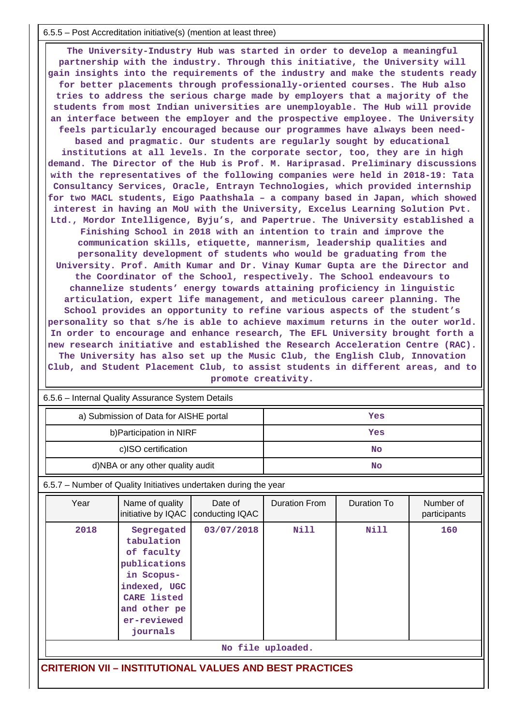#### 6.5.5 – Post Accreditation initiative(s) (mention at least three)

 **The University-Industry Hub was started in order to develop a meaningful partnership with the industry. Through this initiative, the University will gain insights into the requirements of the industry and make the students ready for better placements through professionally-oriented courses. The Hub also tries to address the serious charge made by employers that a majority of the students from most Indian universities are unemployable. The Hub will provide an interface between the employer and the prospective employee. The University feels particularly encouraged because our programmes have always been needbased and pragmatic. Our students are regularly sought by educational institutions at all levels. In the corporate sector, too, they are in high demand. The Director of the Hub is Prof. M. Hariprasad. Preliminary discussions with the representatives of the following companies were held in 2018-19: Tata Consultancy Services, Oracle, Entrayn Technologies, which provided internship for two MACL students, Eigo Paathshala – a company based in Japan, which showed interest in having an MoU with the University, Excelus Learning Solution Pvt. Ltd., Mordor Intelligence, Byju's, and Papertrue. The University established a Finishing School in 2018 with an intention to train and improve the communication skills, etiquette, mannerism, leadership qualities and personality development of students who would be graduating from the University. Prof. Amith Kumar and Dr. Vinay Kumar Gupta are the Director and the Coordinator of the School, respectively. The School endeavours to channelize students' energy towards attaining proficiency in linguistic articulation, expert life management, and meticulous career planning. The School provides an opportunity to refine various aspects of the student's personality so that s/he is able to achieve maximum returns in the outer world. In order to encourage and enhance research, The EFL University brought forth a new research initiative and established the Research Acceleration Centre (RAC). The University has also set up the Music Club, the English Club, Innovation Club, and Student Placement Club, to assist students in different areas, and to promote creativity.**

| 6.5.6 - Internal Quality Assurance System Details              |                                                                                                                                                |                            |                      |                    |                           |  |  |
|----------------------------------------------------------------|------------------------------------------------------------------------------------------------------------------------------------------------|----------------------------|----------------------|--------------------|---------------------------|--|--|
|                                                                | a) Submission of Data for AISHE portal                                                                                                         |                            | Yes                  |                    |                           |  |  |
|                                                                | b) Participation in NIRF                                                                                                                       |                            |                      | Yes                |                           |  |  |
|                                                                | c)ISO certification                                                                                                                            |                            |                      | <b>No</b>          |                           |  |  |
|                                                                | d)NBA or any other quality audit                                                                                                               |                            |                      | <b>No</b>          |                           |  |  |
|                                                                | 6.5.7 - Number of Quality Initiatives undertaken during the year                                                                               |                            |                      |                    |                           |  |  |
| Year                                                           | Name of quality<br>initiative by IQAC                                                                                                          | Date of<br>conducting IQAC | <b>Duration From</b> | <b>Duration To</b> | Number of<br>participants |  |  |
| 2018                                                           | Segregated<br>tabulation<br>of faculty<br>publications<br>in Scopus-<br>indexed, UGC<br>CARE listed<br>and other pe<br>er-reviewed<br>journals | 03/07/2018                 | <b>Nill</b>          | Nill               | 160                       |  |  |
|                                                                |                                                                                                                                                |                            | No file uploaded.    |                    |                           |  |  |
| <b>CRITERION VII - INSTITUTIONAL VALUES AND BEST PRACTICES</b> |                                                                                                                                                |                            |                      |                    |                           |  |  |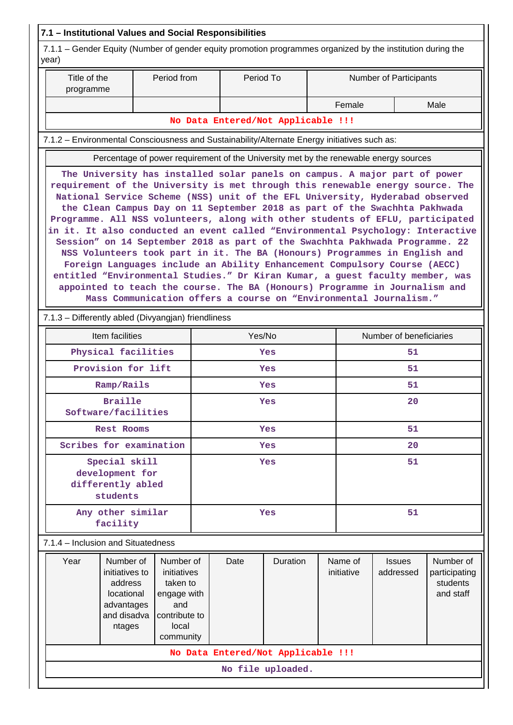| 7.1.1 – Gender Equity (Number of gender equity promotion programmes organized by the institution during the<br>Title of the<br>Period from<br>Period To<br>Number of Participants<br>programme<br>Female<br>Male<br>No Data Entered/Not Applicable !!!<br>7.1.2 - Environmental Consciousness and Sustainability/Alternate Energy initiatives such as:<br>Percentage of power requirement of the University met by the renewable energy sources<br>The University has installed solar panels on campus. A major part of power<br>requirement of the University is met through this renewable energy source. The<br>National Service Scheme (NSS) unit of the EFL University, Hyderabad observed<br>the Clean Campus Day on 11 September 2018 as part of the Swachhta Pakhwada<br>Programme. All NSS volunteers, along with other students of EFLU, participated<br>in it. It also conducted an event called "Environmental Psychology: Interactive<br>Session" on 14 September 2018 as part of the Swachhta Pakhwada Programme. 22<br>NSS Volunteers took part in it. The BA (Honours) Programmes in English and<br>Foreign Languages include an Ability Enhancement Compulsory Course (AECC)<br>entitled "Environmental Studies." Dr Kiran Kumar, a guest faculty member, was<br>appointed to teach the course. The BA (Honours) Programme in Journalism and<br>Mass Communication offers a course on "Environmental Journalism."<br>7.1.3 - Differently abled (Divyangjan) friendliness<br>Item facilities<br>Yes/No<br>Number of beneficiaries<br>Physical facilities<br>51<br>Yes<br>Provision for lift<br>51<br>Yes<br>Ramp/Rails<br><b>Yes</b><br>51<br><b>Braille</b><br>20<br>Yes<br>Software/facilities<br>51<br><b>Rest Rooms</b><br>Yes<br>Scribes for examination<br>20<br>Yes<br>Special skill<br>51<br>Yes<br>development for<br>differently abled<br>students<br>Any other similar<br>51<br>Yes<br>facility<br>7.1.4 - Inclusion and Situatedness<br>Year<br>Number of<br>Name of<br>Number of<br>Number of<br>Date<br>Duration<br><b>Issues</b><br>initiatives to<br>initiatives<br>initiative<br>addressed<br>participating<br>address<br>taken to<br>students<br>and staff<br>locational<br>engage with<br>and<br>advantages<br>and disadva<br>contribute to<br>local<br>ntages<br>community<br>No Data Entered/Not Applicable !!!<br>No file uploaded. | 7.1 - Institutional Values and Social Responsibilities |  |  |  |  |  |  |  |  |  |
|---------------------------------------------------------------------------------------------------------------------------------------------------------------------------------------------------------------------------------------------------------------------------------------------------------------------------------------------------------------------------------------------------------------------------------------------------------------------------------------------------------------------------------------------------------------------------------------------------------------------------------------------------------------------------------------------------------------------------------------------------------------------------------------------------------------------------------------------------------------------------------------------------------------------------------------------------------------------------------------------------------------------------------------------------------------------------------------------------------------------------------------------------------------------------------------------------------------------------------------------------------------------------------------------------------------------------------------------------------------------------------------------------------------------------------------------------------------------------------------------------------------------------------------------------------------------------------------------------------------------------------------------------------------------------------------------------------------------------------------------------------------------------------------------------------------------------------------------------------------------------------------------------------------------------------------------------------------------------------------------------------------------------------------------------------------------------------------------------------------------------------------------------------------------------------------------------------------------------------------------------------------------------------------------------------------------------------------------------------------------------|--------------------------------------------------------|--|--|--|--|--|--|--|--|--|
|                                                                                                                                                                                                                                                                                                                                                                                                                                                                                                                                                                                                                                                                                                                                                                                                                                                                                                                                                                                                                                                                                                                                                                                                                                                                                                                                                                                                                                                                                                                                                                                                                                                                                                                                                                                                                                                                                                                                                                                                                                                                                                                                                                                                                                                                                                                                                                           | year)                                                  |  |  |  |  |  |  |  |  |  |
|                                                                                                                                                                                                                                                                                                                                                                                                                                                                                                                                                                                                                                                                                                                                                                                                                                                                                                                                                                                                                                                                                                                                                                                                                                                                                                                                                                                                                                                                                                                                                                                                                                                                                                                                                                                                                                                                                                                                                                                                                                                                                                                                                                                                                                                                                                                                                                           |                                                        |  |  |  |  |  |  |  |  |  |
|                                                                                                                                                                                                                                                                                                                                                                                                                                                                                                                                                                                                                                                                                                                                                                                                                                                                                                                                                                                                                                                                                                                                                                                                                                                                                                                                                                                                                                                                                                                                                                                                                                                                                                                                                                                                                                                                                                                                                                                                                                                                                                                                                                                                                                                                                                                                                                           |                                                        |  |  |  |  |  |  |  |  |  |
|                                                                                                                                                                                                                                                                                                                                                                                                                                                                                                                                                                                                                                                                                                                                                                                                                                                                                                                                                                                                                                                                                                                                                                                                                                                                                                                                                                                                                                                                                                                                                                                                                                                                                                                                                                                                                                                                                                                                                                                                                                                                                                                                                                                                                                                                                                                                                                           |                                                        |  |  |  |  |  |  |  |  |  |
|                                                                                                                                                                                                                                                                                                                                                                                                                                                                                                                                                                                                                                                                                                                                                                                                                                                                                                                                                                                                                                                                                                                                                                                                                                                                                                                                                                                                                                                                                                                                                                                                                                                                                                                                                                                                                                                                                                                                                                                                                                                                                                                                                                                                                                                                                                                                                                           |                                                        |  |  |  |  |  |  |  |  |  |
|                                                                                                                                                                                                                                                                                                                                                                                                                                                                                                                                                                                                                                                                                                                                                                                                                                                                                                                                                                                                                                                                                                                                                                                                                                                                                                                                                                                                                                                                                                                                                                                                                                                                                                                                                                                                                                                                                                                                                                                                                                                                                                                                                                                                                                                                                                                                                                           |                                                        |  |  |  |  |  |  |  |  |  |
|                                                                                                                                                                                                                                                                                                                                                                                                                                                                                                                                                                                                                                                                                                                                                                                                                                                                                                                                                                                                                                                                                                                                                                                                                                                                                                                                                                                                                                                                                                                                                                                                                                                                                                                                                                                                                                                                                                                                                                                                                                                                                                                                                                                                                                                                                                                                                                           |                                                        |  |  |  |  |  |  |  |  |  |
|                                                                                                                                                                                                                                                                                                                                                                                                                                                                                                                                                                                                                                                                                                                                                                                                                                                                                                                                                                                                                                                                                                                                                                                                                                                                                                                                                                                                                                                                                                                                                                                                                                                                                                                                                                                                                                                                                                                                                                                                                                                                                                                                                                                                                                                                                                                                                                           |                                                        |  |  |  |  |  |  |  |  |  |
|                                                                                                                                                                                                                                                                                                                                                                                                                                                                                                                                                                                                                                                                                                                                                                                                                                                                                                                                                                                                                                                                                                                                                                                                                                                                                                                                                                                                                                                                                                                                                                                                                                                                                                                                                                                                                                                                                                                                                                                                                                                                                                                                                                                                                                                                                                                                                                           |                                                        |  |  |  |  |  |  |  |  |  |
|                                                                                                                                                                                                                                                                                                                                                                                                                                                                                                                                                                                                                                                                                                                                                                                                                                                                                                                                                                                                                                                                                                                                                                                                                                                                                                                                                                                                                                                                                                                                                                                                                                                                                                                                                                                                                                                                                                                                                                                                                                                                                                                                                                                                                                                                                                                                                                           |                                                        |  |  |  |  |  |  |  |  |  |
|                                                                                                                                                                                                                                                                                                                                                                                                                                                                                                                                                                                                                                                                                                                                                                                                                                                                                                                                                                                                                                                                                                                                                                                                                                                                                                                                                                                                                                                                                                                                                                                                                                                                                                                                                                                                                                                                                                                                                                                                                                                                                                                                                                                                                                                                                                                                                                           |                                                        |  |  |  |  |  |  |  |  |  |
|                                                                                                                                                                                                                                                                                                                                                                                                                                                                                                                                                                                                                                                                                                                                                                                                                                                                                                                                                                                                                                                                                                                                                                                                                                                                                                                                                                                                                                                                                                                                                                                                                                                                                                                                                                                                                                                                                                                                                                                                                                                                                                                                                                                                                                                                                                                                                                           |                                                        |  |  |  |  |  |  |  |  |  |
|                                                                                                                                                                                                                                                                                                                                                                                                                                                                                                                                                                                                                                                                                                                                                                                                                                                                                                                                                                                                                                                                                                                                                                                                                                                                                                                                                                                                                                                                                                                                                                                                                                                                                                                                                                                                                                                                                                                                                                                                                                                                                                                                                                                                                                                                                                                                                                           |                                                        |  |  |  |  |  |  |  |  |  |
|                                                                                                                                                                                                                                                                                                                                                                                                                                                                                                                                                                                                                                                                                                                                                                                                                                                                                                                                                                                                                                                                                                                                                                                                                                                                                                                                                                                                                                                                                                                                                                                                                                                                                                                                                                                                                                                                                                                                                                                                                                                                                                                                                                                                                                                                                                                                                                           |                                                        |  |  |  |  |  |  |  |  |  |
|                                                                                                                                                                                                                                                                                                                                                                                                                                                                                                                                                                                                                                                                                                                                                                                                                                                                                                                                                                                                                                                                                                                                                                                                                                                                                                                                                                                                                                                                                                                                                                                                                                                                                                                                                                                                                                                                                                                                                                                                                                                                                                                                                                                                                                                                                                                                                                           |                                                        |  |  |  |  |  |  |  |  |  |
|                                                                                                                                                                                                                                                                                                                                                                                                                                                                                                                                                                                                                                                                                                                                                                                                                                                                                                                                                                                                                                                                                                                                                                                                                                                                                                                                                                                                                                                                                                                                                                                                                                                                                                                                                                                                                                                                                                                                                                                                                                                                                                                                                                                                                                                                                                                                                                           |                                                        |  |  |  |  |  |  |  |  |  |
|                                                                                                                                                                                                                                                                                                                                                                                                                                                                                                                                                                                                                                                                                                                                                                                                                                                                                                                                                                                                                                                                                                                                                                                                                                                                                                                                                                                                                                                                                                                                                                                                                                                                                                                                                                                                                                                                                                                                                                                                                                                                                                                                                                                                                                                                                                                                                                           |                                                        |  |  |  |  |  |  |  |  |  |
|                                                                                                                                                                                                                                                                                                                                                                                                                                                                                                                                                                                                                                                                                                                                                                                                                                                                                                                                                                                                                                                                                                                                                                                                                                                                                                                                                                                                                                                                                                                                                                                                                                                                                                                                                                                                                                                                                                                                                                                                                                                                                                                                                                                                                                                                                                                                                                           |                                                        |  |  |  |  |  |  |  |  |  |
|                                                                                                                                                                                                                                                                                                                                                                                                                                                                                                                                                                                                                                                                                                                                                                                                                                                                                                                                                                                                                                                                                                                                                                                                                                                                                                                                                                                                                                                                                                                                                                                                                                                                                                                                                                                                                                                                                                                                                                                                                                                                                                                                                                                                                                                                                                                                                                           |                                                        |  |  |  |  |  |  |  |  |  |
|                                                                                                                                                                                                                                                                                                                                                                                                                                                                                                                                                                                                                                                                                                                                                                                                                                                                                                                                                                                                                                                                                                                                                                                                                                                                                                                                                                                                                                                                                                                                                                                                                                                                                                                                                                                                                                                                                                                                                                                                                                                                                                                                                                                                                                                                                                                                                                           |                                                        |  |  |  |  |  |  |  |  |  |
|                                                                                                                                                                                                                                                                                                                                                                                                                                                                                                                                                                                                                                                                                                                                                                                                                                                                                                                                                                                                                                                                                                                                                                                                                                                                                                                                                                                                                                                                                                                                                                                                                                                                                                                                                                                                                                                                                                                                                                                                                                                                                                                                                                                                                                                                                                                                                                           |                                                        |  |  |  |  |  |  |  |  |  |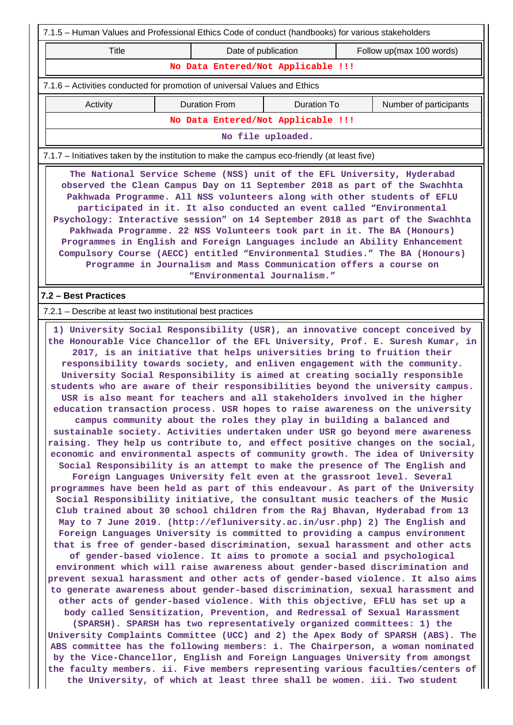| 7.1.5 - Human Values and Professional Ethics Code of conduct (handbooks) for various stakeholders                                                                                                                                                                                                                                                                                                                                                                                                                                                                                                                                                                                                                                      |                      |                                    |                                                                                                                                                                                                                                                                                                                                                                                                                                                                                                                                                                                                                                                                                                                                                                                                                                                                                                                                                                                                                                                                                                                                                                                                                                                                                                                                                                                                                                                                                                                                                                                                                                                                                                                                                                                                                                                                                                                                                                                                                                                                                                                                                                                                                                                                                                                                                                                                                                                                                                                                                                                                                                             |  |  |  |  |
|----------------------------------------------------------------------------------------------------------------------------------------------------------------------------------------------------------------------------------------------------------------------------------------------------------------------------------------------------------------------------------------------------------------------------------------------------------------------------------------------------------------------------------------------------------------------------------------------------------------------------------------------------------------------------------------------------------------------------------------|----------------------|------------------------------------|---------------------------------------------------------------------------------------------------------------------------------------------------------------------------------------------------------------------------------------------------------------------------------------------------------------------------------------------------------------------------------------------------------------------------------------------------------------------------------------------------------------------------------------------------------------------------------------------------------------------------------------------------------------------------------------------------------------------------------------------------------------------------------------------------------------------------------------------------------------------------------------------------------------------------------------------------------------------------------------------------------------------------------------------------------------------------------------------------------------------------------------------------------------------------------------------------------------------------------------------------------------------------------------------------------------------------------------------------------------------------------------------------------------------------------------------------------------------------------------------------------------------------------------------------------------------------------------------------------------------------------------------------------------------------------------------------------------------------------------------------------------------------------------------------------------------------------------------------------------------------------------------------------------------------------------------------------------------------------------------------------------------------------------------------------------------------------------------------------------------------------------------------------------------------------------------------------------------------------------------------------------------------------------------------------------------------------------------------------------------------------------------------------------------------------------------------------------------------------------------------------------------------------------------------------------------------------------------------------------------------------------------|--|--|--|--|
| Title                                                                                                                                                                                                                                                                                                                                                                                                                                                                                                                                                                                                                                                                                                                                  |                      | Date of publication                | Follow up(max 100 words)                                                                                                                                                                                                                                                                                                                                                                                                                                                                                                                                                                                                                                                                                                                                                                                                                                                                                                                                                                                                                                                                                                                                                                                                                                                                                                                                                                                                                                                                                                                                                                                                                                                                                                                                                                                                                                                                                                                                                                                                                                                                                                                                                                                                                                                                                                                                                                                                                                                                                                                                                                                                                    |  |  |  |  |
|                                                                                                                                                                                                                                                                                                                                                                                                                                                                                                                                                                                                                                                                                                                                        |                      | No Data Entered/Not Applicable !!! |                                                                                                                                                                                                                                                                                                                                                                                                                                                                                                                                                                                                                                                                                                                                                                                                                                                                                                                                                                                                                                                                                                                                                                                                                                                                                                                                                                                                                                                                                                                                                                                                                                                                                                                                                                                                                                                                                                                                                                                                                                                                                                                                                                                                                                                                                                                                                                                                                                                                                                                                                                                                                                             |  |  |  |  |
| 7.1.6 – Activities conducted for promotion of universal Values and Ethics                                                                                                                                                                                                                                                                                                                                                                                                                                                                                                                                                                                                                                                              |                      |                                    |                                                                                                                                                                                                                                                                                                                                                                                                                                                                                                                                                                                                                                                                                                                                                                                                                                                                                                                                                                                                                                                                                                                                                                                                                                                                                                                                                                                                                                                                                                                                                                                                                                                                                                                                                                                                                                                                                                                                                                                                                                                                                                                                                                                                                                                                                                                                                                                                                                                                                                                                                                                                                                             |  |  |  |  |
| Activity                                                                                                                                                                                                                                                                                                                                                                                                                                                                                                                                                                                                                                                                                                                               | <b>Duration From</b> | <b>Duration To</b>                 | Number of participants                                                                                                                                                                                                                                                                                                                                                                                                                                                                                                                                                                                                                                                                                                                                                                                                                                                                                                                                                                                                                                                                                                                                                                                                                                                                                                                                                                                                                                                                                                                                                                                                                                                                                                                                                                                                                                                                                                                                                                                                                                                                                                                                                                                                                                                                                                                                                                                                                                                                                                                                                                                                                      |  |  |  |  |
|                                                                                                                                                                                                                                                                                                                                                                                                                                                                                                                                                                                                                                                                                                                                        |                      | No Data Entered/Not Applicable !!! |                                                                                                                                                                                                                                                                                                                                                                                                                                                                                                                                                                                                                                                                                                                                                                                                                                                                                                                                                                                                                                                                                                                                                                                                                                                                                                                                                                                                                                                                                                                                                                                                                                                                                                                                                                                                                                                                                                                                                                                                                                                                                                                                                                                                                                                                                                                                                                                                                                                                                                                                                                                                                                             |  |  |  |  |
|                                                                                                                                                                                                                                                                                                                                                                                                                                                                                                                                                                                                                                                                                                                                        |                      | No file uploaded.                  |                                                                                                                                                                                                                                                                                                                                                                                                                                                                                                                                                                                                                                                                                                                                                                                                                                                                                                                                                                                                                                                                                                                                                                                                                                                                                                                                                                                                                                                                                                                                                                                                                                                                                                                                                                                                                                                                                                                                                                                                                                                                                                                                                                                                                                                                                                                                                                                                                                                                                                                                                                                                                                             |  |  |  |  |
| 7.1.7 - Initiatives taken by the institution to make the campus eco-friendly (at least five)                                                                                                                                                                                                                                                                                                                                                                                                                                                                                                                                                                                                                                           |                      |                                    |                                                                                                                                                                                                                                                                                                                                                                                                                                                                                                                                                                                                                                                                                                                                                                                                                                                                                                                                                                                                                                                                                                                                                                                                                                                                                                                                                                                                                                                                                                                                                                                                                                                                                                                                                                                                                                                                                                                                                                                                                                                                                                                                                                                                                                                                                                                                                                                                                                                                                                                                                                                                                                             |  |  |  |  |
| The National Service Scheme (NSS) unit of the EFL University, Hyderabad<br>observed the Clean Campus Day on 11 September 2018 as part of the Swachhta<br>Pakhwada Programme. All NSS volunteers along with other students of EFLU<br>participated in it. It also conducted an event called "Environmental<br>Psychology: Interactive session" on 14 September 2018 as part of the Swachhta<br>Pakhwada Programme. 22 NSS Volunteers took part in it. The BA (Honours)<br>Programmes in English and Foreign Languages include an Ability Enhancement<br>Compulsory Course (AECC) entitled "Environmental Studies." The BA (Honours)<br>Programme in Journalism and Mass Communication offers a course on<br>"Environmental Journalism." |                      |                                    |                                                                                                                                                                                                                                                                                                                                                                                                                                                                                                                                                                                                                                                                                                                                                                                                                                                                                                                                                                                                                                                                                                                                                                                                                                                                                                                                                                                                                                                                                                                                                                                                                                                                                                                                                                                                                                                                                                                                                                                                                                                                                                                                                                                                                                                                                                                                                                                                                                                                                                                                                                                                                                             |  |  |  |  |
| 7.2 - Best Practices                                                                                                                                                                                                                                                                                                                                                                                                                                                                                                                                                                                                                                                                                                                   |                      |                                    |                                                                                                                                                                                                                                                                                                                                                                                                                                                                                                                                                                                                                                                                                                                                                                                                                                                                                                                                                                                                                                                                                                                                                                                                                                                                                                                                                                                                                                                                                                                                                                                                                                                                                                                                                                                                                                                                                                                                                                                                                                                                                                                                                                                                                                                                                                                                                                                                                                                                                                                                                                                                                                             |  |  |  |  |
| 7.2.1 – Describe at least two institutional best practices                                                                                                                                                                                                                                                                                                                                                                                                                                                                                                                                                                                                                                                                             |                      |                                    |                                                                                                                                                                                                                                                                                                                                                                                                                                                                                                                                                                                                                                                                                                                                                                                                                                                                                                                                                                                                                                                                                                                                                                                                                                                                                                                                                                                                                                                                                                                                                                                                                                                                                                                                                                                                                                                                                                                                                                                                                                                                                                                                                                                                                                                                                                                                                                                                                                                                                                                                                                                                                                             |  |  |  |  |
|                                                                                                                                                                                                                                                                                                                                                                                                                                                                                                                                                                                                                                                                                                                                        |                      |                                    | 1) University Social Responsibility (USR), an innovative concept conceived by<br>the Honourable Vice Chancellor of the EFL University, Prof. E. Suresh Kumar, in<br>2017, is an initiative that helps universities bring to fruition their<br>responsibility towards society, and enliven engagement with the community.<br>University Social Responsibility is aimed at creating socially responsible<br>students who are aware of their responsibilities beyond the university campus.<br>USR is also meant for teachers and all stakeholders involved in the higher<br>education transaction process. USR hopes to raise awareness on the university<br>campus community about the roles they play in building a balanced and<br>sustainable society. Activities undertaken under USR go beyond mere awareness<br>raising. They help us contribute to, and effect positive changes on the social,<br>economic and environmental aspects of community growth. The idea of University<br>Social Responsibility is an attempt to make the presence of The English and<br>Foreign Languages University felt even at the grassroot level. Several<br>programmes have been held as part of this endeavour. As part of the University<br>Social Responsibility initiative, the consultant music teachers of the Music<br>Club trained about 30 school children from the Raj Bhavan, Hyderabad from 13<br>May to 7 June 2019. (http://efluniversity.ac.in/usr.php) 2) The English and<br>Foreign Languages University is committed to providing a campus environment<br>that is free of gender-based discrimination, sexual harassment and other acts<br>of gender-based violence. It aims to promote a social and psychological<br>environment which will raise awareness about gender-based discrimination and<br>prevent sexual harassment and other acts of gender-based violence. It also aims<br>to generate awareness about gender-based discrimination, sexual harassment and<br>other acts of gender-based violence. With this objective, EFLU has set up a<br>body called Sensitization, Prevention, and Redressal of Sexual Harassment<br>(SPARSH). SPARSH has two representatively organized committees: 1) the<br>University Complaints Committee (UCC) and 2) the Apex Body of SPARSH (ABS). The<br>ABS committee has the following members: i. The Chairperson, a woman nominated<br>by the Vice-Chancellor, English and Foreign Languages University from amongst<br>the faculty members. ii. Five members representing various faculties/centers of<br>the University, of which at least three shall be women. iii. Two student |  |  |  |  |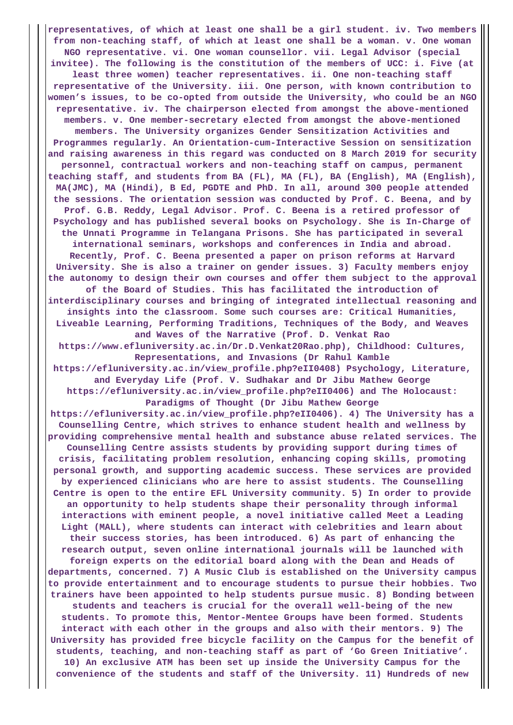**representatives, of which at least one shall be a girl student. iv. Two members from non-teaching staff, of which at least one shall be a woman. v. One woman NGO representative. vi. One woman counsellor. vii. Legal Advisor (special invitee). The following is the constitution of the members of UCC: i. Five (at least three women) teacher representatives. ii. One non-teaching staff representative of the University. iii. One person, with known contribution to women's issues, to be co-opted from outside the University, who could be an NGO representative. iv. The chairperson elected from amongst the above-mentioned members. v. One member-secretary elected from amongst the above-mentioned members. The University organizes Gender Sensitization Activities and Programmes regularly. An Orientation-cum-Interactive Session on sensitization and raising awareness in this regard was conducted on 8 March 2019 for security personnel, contractual workers and non-teaching staff on campus, permanent teaching staff, and students from BA (FL), MA (FL), BA (English), MA (English), MA(JMC), MA (Hindi), B Ed, PGDTE and PhD. In all, around 300 people attended the sessions. The orientation session was conducted by Prof. C. Beena, and by Prof. G.B. Reddy, Legal Advisor. Prof. C. Beena is a retired professor of Psychology and has published several books on Psychology. She is In-Charge of the Unnati Programme in Telangana Prisons. She has participated in several international seminars, workshops and conferences in India and abroad. Recently, Prof. C. Beena presented a paper on prison reforms at Harvard University. She is also a trainer on gender issues. 3) Faculty members enjoy the autonomy to design their own courses and offer them subject to the approval of the Board of Studies. This has facilitated the introduction of interdisciplinary courses and bringing of integrated intellectual reasoning and insights into the classroom. Some such courses are: Critical Humanities, Liveable Learning, Performing Traditions, Techniques of the Body, and Weaves and Waves of the Narrative (Prof. D. Venkat Rao https://www.efluniversity.ac.in/Dr.D.Venkat20Rao.php), Childhood: Cultures, Representations, and Invasions (Dr Rahul Kamble https://efluniversity.ac.in/view\_profile.php?eII0408) Psychology, Literature, and Everyday Life (Prof. V. Sudhakar and Dr Jibu Mathew George https://efluniversity.ac.in/view\_profile.php?eII0406) and The Holocaust: Paradigms of Thought (Dr Jibu Mathew George https://efluniversity.ac.in/view\_profile.php?eII0406). 4) The University has a Counselling Centre, which strives to enhance student health and wellness by providing comprehensive mental health and substance abuse related services. The Counselling Centre assists students by providing support during times of crisis, facilitating problem resolution, enhancing coping skills, promoting personal growth, and supporting academic success. These services are provided by experienced clinicians who are here to assist students. The Counselling Centre is open to the entire EFL University community. 5) In order to provide an opportunity to help students shape their personality through informal interactions with eminent people, a novel initiative called Meet a Leading Light (MALL), where students can interact with celebrities and learn about their success stories, has been introduced. 6) As part of enhancing the research output, seven online international journals will be launched with foreign experts on the editorial board along with the Dean and Heads of departments, concerned. 7) A Music Club is established on the University campus to provide entertainment and to encourage students to pursue their hobbies. Two trainers have been appointed to help students pursue music. 8) Bonding between students and teachers is crucial for the overall well-being of the new students. To promote this, Mentor-Mentee Groups have been formed. Students interact with each other in the groups and also with their mentors. 9) The University has provided free bicycle facility on the Campus for the benefit of students, teaching, and non-teaching staff as part of 'Go Green Initiative'. 10) An exclusive ATM has been set up inside the University Campus for the convenience of the students and staff of the University. 11) Hundreds of new**